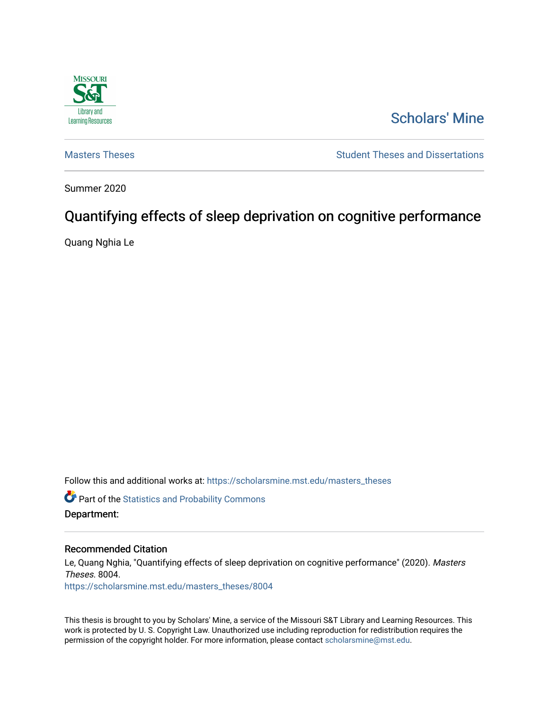

# [Scholars' Mine](https://scholarsmine.mst.edu/)

[Masters Theses](https://scholarsmine.mst.edu/masters_theses) **Student Theses and Dissertations** Student Theses and Dissertations

Summer 2020

# Quantifying effects of sleep deprivation on cognitive performance

Quang Nghia Le

Follow this and additional works at: [https://scholarsmine.mst.edu/masters\\_theses](https://scholarsmine.mst.edu/masters_theses?utm_source=scholarsmine.mst.edu%2Fmasters_theses%2F8004&utm_medium=PDF&utm_campaign=PDFCoverPages) 

**C** Part of the [Statistics and Probability Commons](http://network.bepress.com/hgg/discipline/208?utm_source=scholarsmine.mst.edu%2Fmasters_theses%2F8004&utm_medium=PDF&utm_campaign=PDFCoverPages)

#### Department:

#### Recommended Citation

Le, Quang Nghia, "Quantifying effects of sleep deprivation on cognitive performance" (2020). Masters Theses. 8004. [https://scholarsmine.mst.edu/masters\\_theses/8004](https://scholarsmine.mst.edu/masters_theses/8004?utm_source=scholarsmine.mst.edu%2Fmasters_theses%2F8004&utm_medium=PDF&utm_campaign=PDFCoverPages) 

This thesis is brought to you by Scholars' Mine, a service of the Missouri S&T Library and Learning Resources. This work is protected by U. S. Copyright Law. Unauthorized use including reproduction for redistribution requires the permission of the copyright holder. For more information, please contact [scholarsmine@mst.edu](mailto:scholarsmine@mst.edu).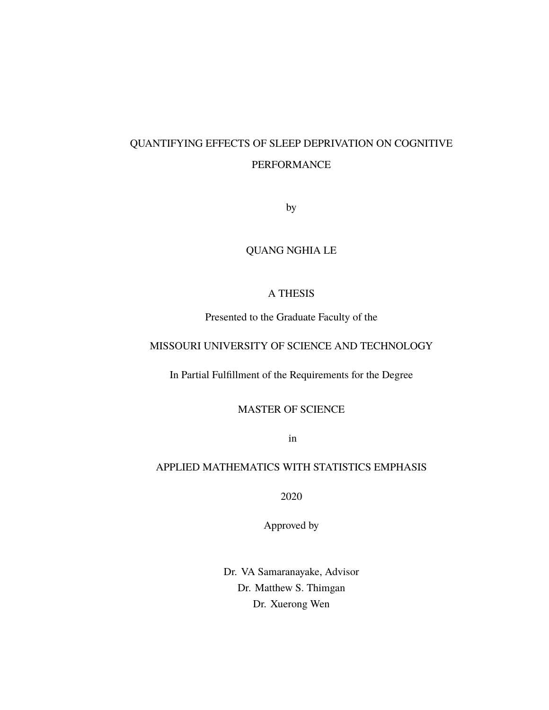# QUANTIFYING EFFECTS OF SLEEP DEPRIVATION ON COGNITIVE PERFORMANCE

by

## QUANG NGHIA LE

### A THESIS

Presented to the Graduate Faculty of the

### MISSOURI UNIVERSITY OF SCIENCE AND TECHNOLOGY

In Partial Fulfillment of the Requirements for the Degree

MASTER OF SCIENCE

in

### APPLIED MATHEMATICS WITH STATISTICS EMPHASIS

2020

Approved by

Dr. VA Samaranayake, Advisor Dr. Matthew S. Thimgan Dr. Xuerong Wen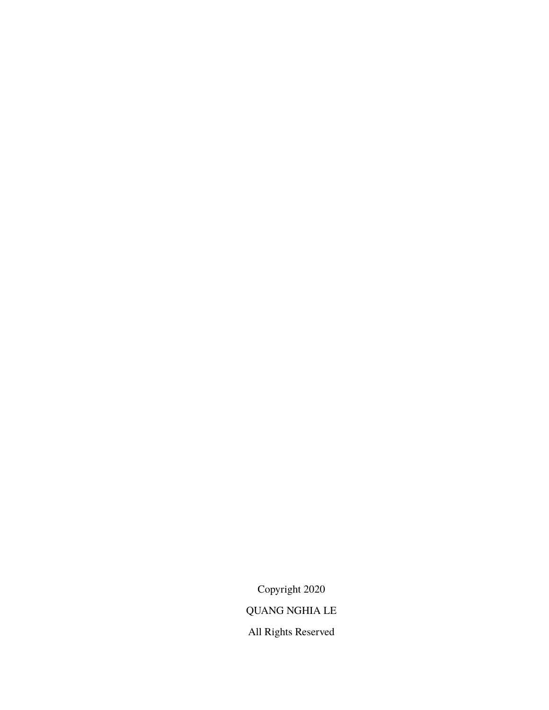Copyright 2020 QUANG NGHIA LE All Rights Reserved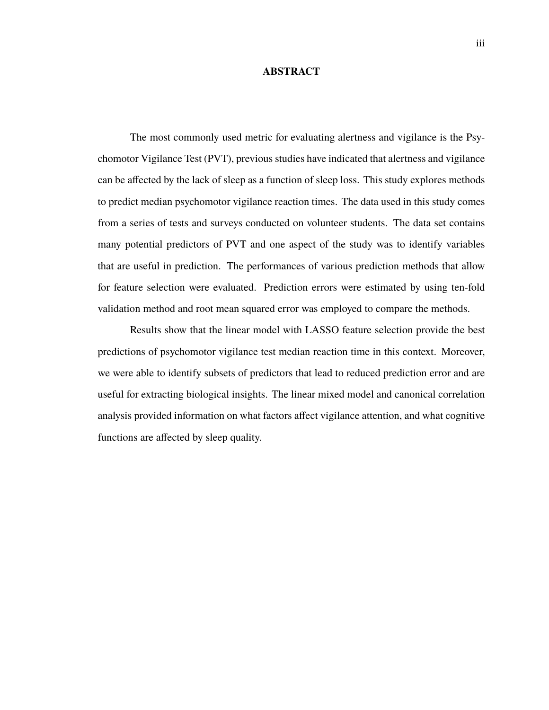#### **ABSTRACT**

The most commonly used metric for evaluating alertness and vigilance is the Psychomotor Vigilance Test (PVT), previous studies have indicated that alertness and vigilance can be affected by the lack of sleep as a function of sleep loss. This study explores methods to predict median psychomotor vigilance reaction times. The data used in this study comes from a series of tests and surveys conducted on volunteer students. The data set contains many potential predictors of PVT and one aspect of the study was to identify variables that are useful in prediction. The performances of various prediction methods that allow for feature selection were evaluated. Prediction errors were estimated by using ten-fold validation method and root mean squared error was employed to compare the methods.

Results show that the linear model with LASSO feature selection provide the best predictions of psychomotor vigilance test median reaction time in this context. Moreover, we were able to identify subsets of predictors that lead to reduced prediction error and are useful for extracting biological insights. The linear mixed model and canonical correlation analysis provided information on what factors affect vigilance attention, and what cognitive functions are affected by sleep quality.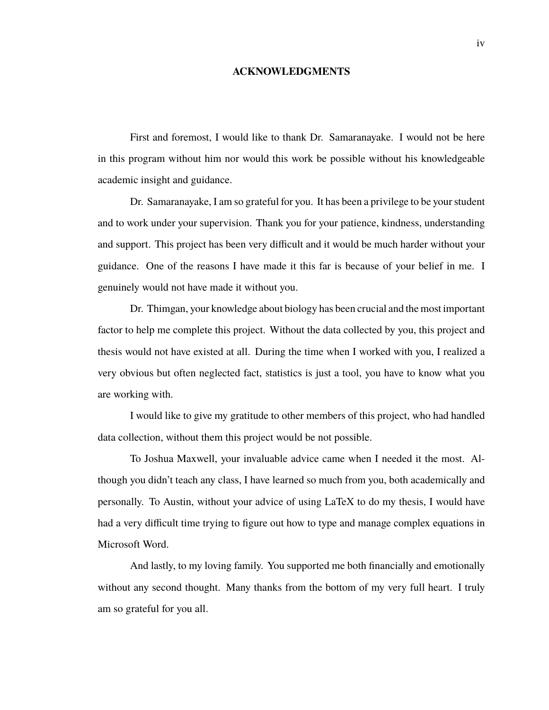#### **ACKNOWLEDGMENTS**

First and foremost, I would like to thank Dr. Samaranayake. I would not be here in this program without him nor would this work be possible without his knowledgeable academic insight and guidance.

Dr. Samaranayake, I am so grateful for you. It has been a privilege to be your student and to work under your supervision. Thank you for your patience, kindness, understanding and support. This project has been very difficult and it would be much harder without your guidance. One of the reasons I have made it this far is because of your belief in me. I genuinely would not have made it without you.

Dr. Thimgan, your knowledge about biology has been crucial and the most important factor to help me complete this project. Without the data collected by you, this project and thesis would not have existed at all. During the time when I worked with you, I realized a very obvious but often neglected fact, statistics is just a tool, you have to know what you are working with.

I would like to give my gratitude to other members of this project, who had handled data collection, without them this project would be not possible.

To Joshua Maxwell, your invaluable advice came when I needed it the most. Although you didn't teach any class, I have learned so much from you, both academically and personally. To Austin, without your advice of using LaTeX to do my thesis, I would have had a very difficult time trying to figure out how to type and manage complex equations in Microsoft Word.

And lastly, to my loving family. You supported me both financially and emotionally without any second thought. Many thanks from the bottom of my very full heart. I truly am so grateful for you all.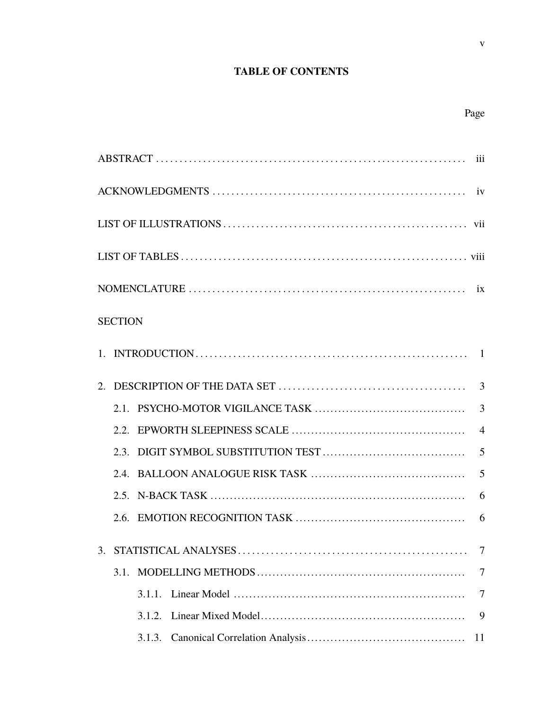# **TABLE OF CONTENTS**

 $\mathbf{V}$ 

| <b>SECTION</b> |                |
|----------------|----------------|
|                |                |
|                | 3              |
|                | $\overline{3}$ |
|                | $\overline{4}$ |
|                | 5              |
|                | 5              |
|                | 6              |
|                | 6              |
| 3.             | $\tau$         |
| 3.1.           | 7              |
| 3.1.1.         | 7              |
| 3.1.2.         | 9              |
| 3.1.3.         | 11             |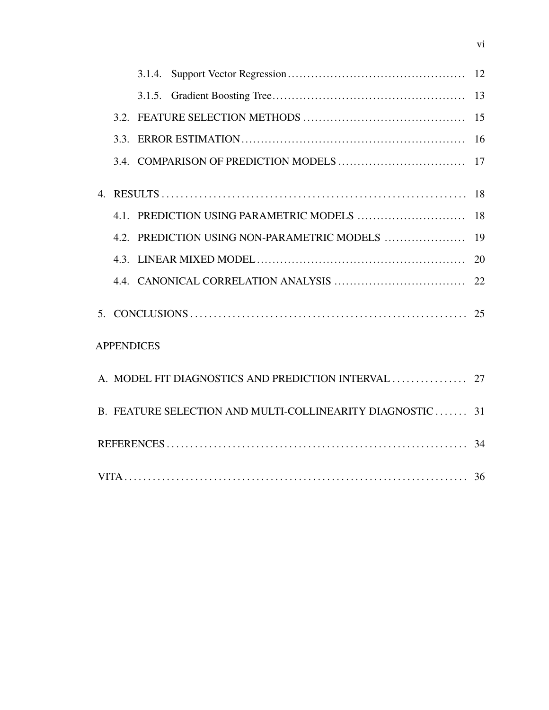| 4 <sup>1</sup>    |                                                           |    |
|-------------------|-----------------------------------------------------------|----|
|                   |                                                           | 18 |
|                   | 4.2. PREDICTION USING NON-PARAMETRIC MODELS               | 19 |
|                   |                                                           |    |
|                   |                                                           |    |
|                   |                                                           |    |
| <b>APPENDICES</b> |                                                           |    |
|                   |                                                           |    |
|                   | B. FEATURE SELECTION AND MULTI-COLLINEARITY DIAGNOSTIC 31 |    |
|                   |                                                           |    |
|                   |                                                           |    |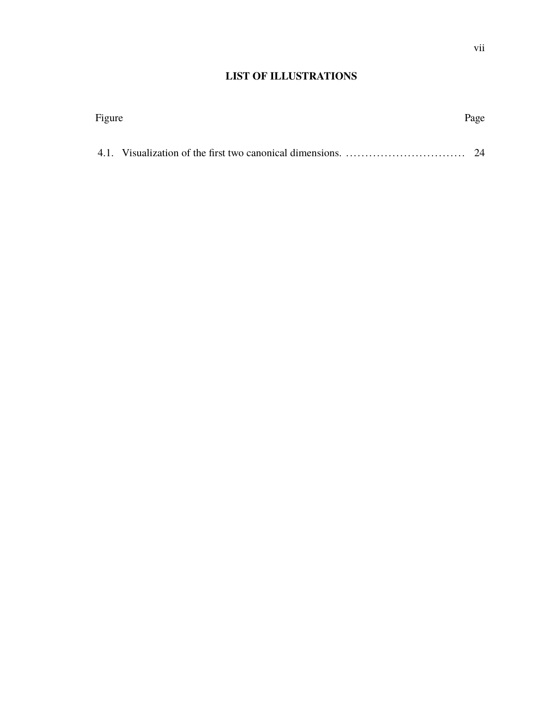# **LIST OF ILLUSTRATIONS**

| Figure | Page |
|--------|------|
|        |      |
|        |      |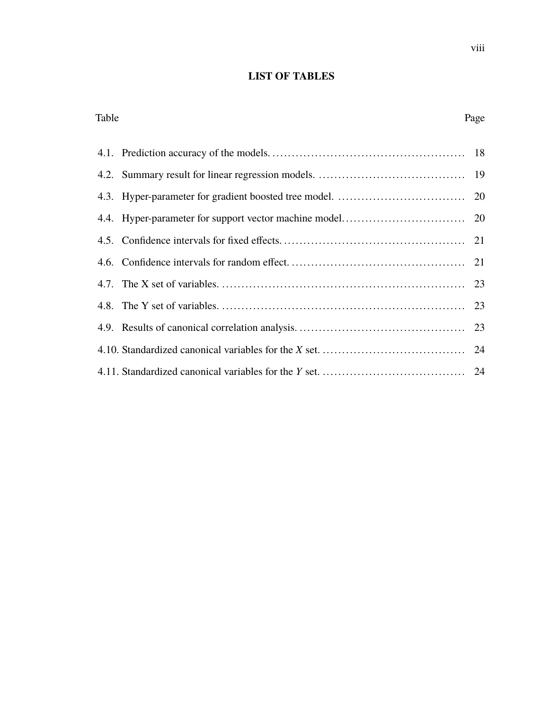# **LIST OF TABLES**

| Table | Page |
|-------|------|
|       |      |
|       |      |
|       |      |
|       |      |
|       |      |
|       |      |
|       |      |
|       |      |
|       |      |
|       |      |
|       |      |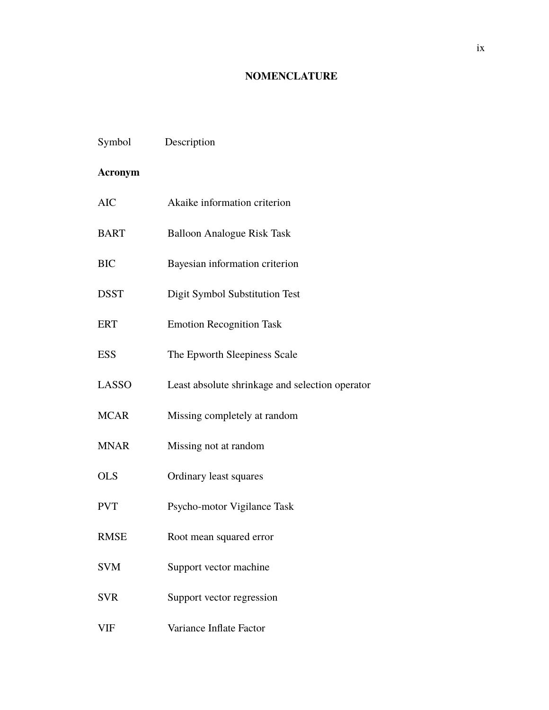# **NOMENCLATURE**

| Symbol         | Description                                     |
|----------------|-------------------------------------------------|
| <b>Acronym</b> |                                                 |
| <b>AIC</b>     | Akaike information criterion                    |
| <b>BART</b>    | <b>Balloon Analogue Risk Task</b>               |
| <b>BIC</b>     | Bayesian information criterion                  |
| <b>DSST</b>    | Digit Symbol Substitution Test                  |
| <b>ERT</b>     | <b>Emotion Recognition Task</b>                 |
| <b>ESS</b>     | The Epworth Sleepiness Scale                    |
| <b>LASSO</b>   | Least absolute shrinkage and selection operator |
| <b>MCAR</b>    | Missing completely at random                    |
| <b>MNAR</b>    | Missing not at random                           |
| <b>OLS</b>     | Ordinary least squares                          |
| <b>PVT</b>     | Psycho-motor Vigilance Task                     |
| <b>RMSE</b>    | Root mean squared error                         |
| <b>SVM</b>     | Support vector machine                          |
| <b>SVR</b>     | Support vector regression                       |
| VIF            | Variance Inflate Factor                         |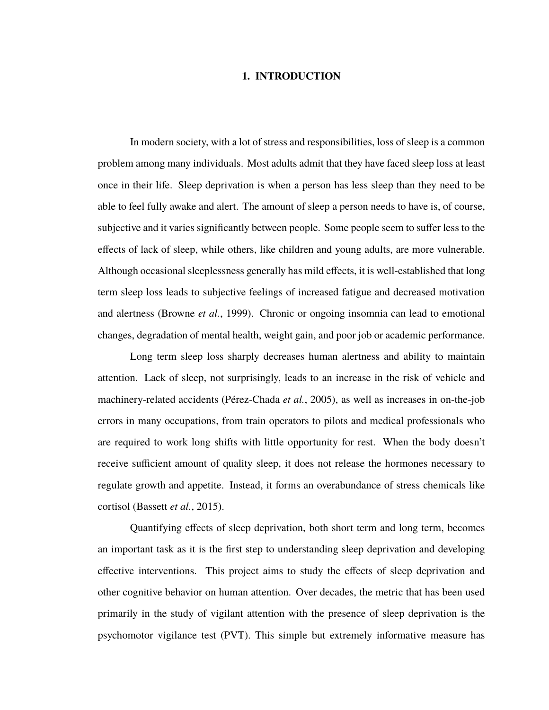#### **1. INTRODUCTION**

In modern society, with a lot of stress and responsibilities, loss of sleep is a common problem among many individuals. Most adults admit that they have faced sleep loss at least once in their life. Sleep deprivation is when a person has less sleep than they need to be able to feel fully awake and alert. The amount of sleep a person needs to have is, of course, subjective and it varies significantly between people. Some people seem to suffer less to the effects of lack of sleep, while others, like children and young adults, are more vulnerable. Although occasional sleeplessness generally has mild effects, it is well-established that long term sleep loss leads to subjective feelings of increased fatigue and decreased motivation and alertness (Browne *et al.*, 1999). Chronic or ongoing insomnia can lead to emotional changes, degradation of mental health, weight gain, and poor job or academic performance.

Long term sleep loss sharply decreases human alertness and ability to maintain attention. Lack of sleep, not surprisingly, leads to an increase in the risk of vehicle and machinery-related accidents (Pérez-Chada *et al.*, 2005), as well as increases in on-the-job errors in many occupations, from train operators to pilots and medical professionals who are required to work long shifts with little opportunity for rest. When the body doesn't receive sufficient amount of quality sleep, it does not release the hormones necessary to regulate growth and appetite. Instead, it forms an overabundance of stress chemicals like cortisol (Bassett *et al.*, 2015).

Quantifying effects of sleep deprivation, both short term and long term, becomes an important task as it is the first step to understanding sleep deprivation and developing effective interventions. This project aims to study the effects of sleep deprivation and other cognitive behavior on human attention. Over decades, the metric that has been used primarily in the study of vigilant attention with the presence of sleep deprivation is the psychomotor vigilance test (PVT). This simple but extremely informative measure has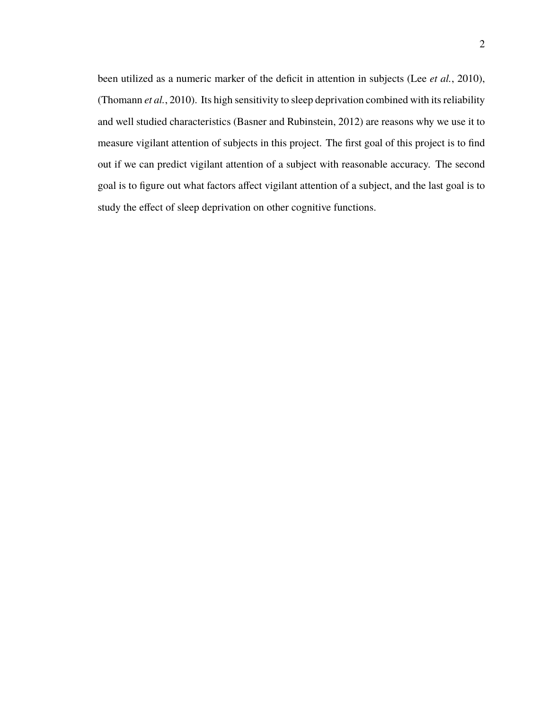been utilized as a numeric marker of the deficit in attention in subjects (Lee *et al.*, 2010), (Thomann *et al.*, 2010). Its high sensitivity to sleep deprivation combined with its reliability and well studied characteristics (Basner and Rubinstein, 2012) are reasons why we use it to measure vigilant attention of subjects in this project. The first goal of this project is to find out if we can predict vigilant attention of a subject with reasonable accuracy. The second goal is to figure out what factors affect vigilant attention of a subject, and the last goal is to study the effect of sleep deprivation on other cognitive functions.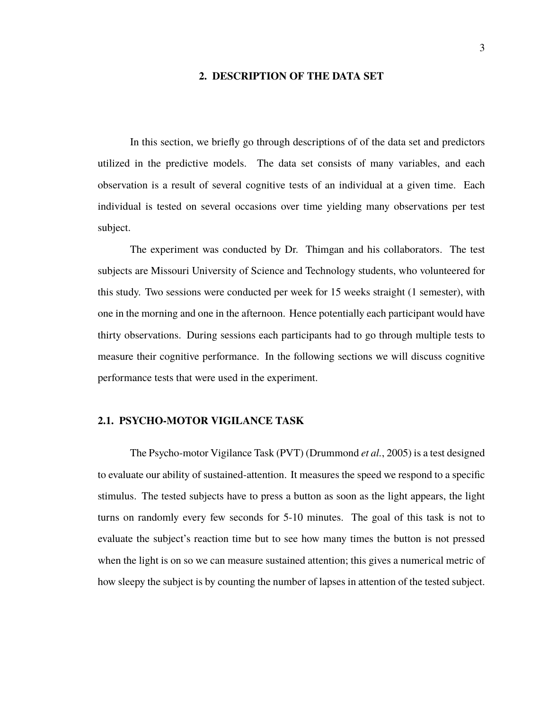#### **2. DESCRIPTION OF THE DATA SET**

In this section, we briefly go through descriptions of of the data set and predictors utilized in the predictive models. The data set consists of many variables, and each observation is a result of several cognitive tests of an individual at a given time. Each individual is tested on several occasions over time yielding many observations per test subject.

The experiment was conducted by Dr. Thimgan and his collaborators. The test subjects are Missouri University of Science and Technology students, who volunteered for this study. Two sessions were conducted per week for 15 weeks straight (1 semester), with one in the morning and one in the afternoon. Hence potentially each participant would have thirty observations. During sessions each participants had to go through multiple tests to measure their cognitive performance. In the following sections we will discuss cognitive performance tests that were used in the experiment.

### **2.1. PSYCHO-MOTOR VIGILANCE TASK**

The Psycho-motor Vigilance Task (PVT) (Drummond *et al.*, 2005) is a test designed to evaluate our ability of sustained-attention. It measures the speed we respond to a specific stimulus. The tested subjects have to press a button as soon as the light appears, the light turns on randomly every few seconds for 5-10 minutes. The goal of this task is not to evaluate the subject's reaction time but to see how many times the button is not pressed when the light is on so we can measure sustained attention; this gives a numerical metric of how sleepy the subject is by counting the number of lapses in attention of the tested subject.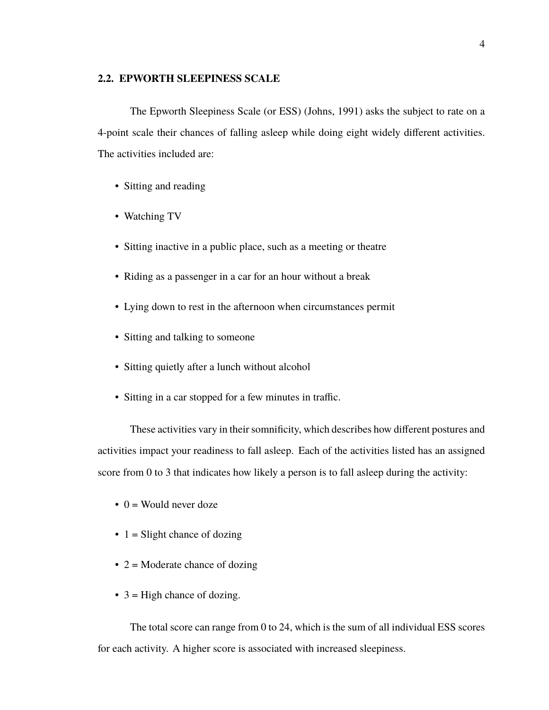#### **2.2. EPWORTH SLEEPINESS SCALE**

The Epworth Sleepiness Scale (or ESS) (Johns, 1991) asks the subject to rate on a 4-point scale their chances of falling asleep while doing eight widely different activities. The activities included are:

- Sitting and reading
- Watching TV
- Sitting inactive in a public place, such as a meeting or theatre
- Riding as a passenger in a car for an hour without a break
- Lying down to rest in the afternoon when circumstances permit
- Sitting and talking to someone
- Sitting quietly after a lunch without alcohol
- Sitting in a car stopped for a few minutes in traffic.

These activities vary in their somnificity, which describes how different postures and activities impact your readiness to fall asleep. Each of the activities listed has an assigned score from 0 to 3 that indicates how likely a person is to fall asleep during the activity:

- $\bullet$  0 = Would never doze
- $\bullet$  1 = Slight chance of dozing
- $2 =$ Moderate chance of dozing
- $\bullet$  3 = High chance of dozing.

The total score can range from 0 to 24, which is the sum of all individual ESS scores for each activity. A higher score is associated with increased sleepiness.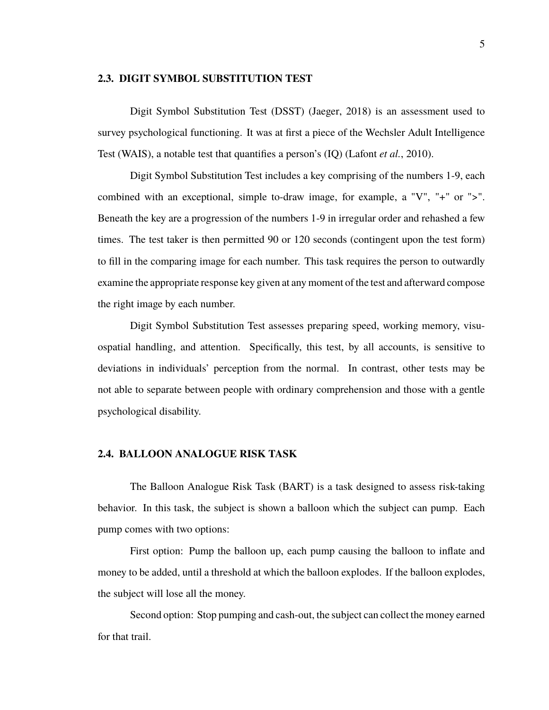#### **2.3. DIGIT SYMBOL SUBSTITUTION TEST**

Digit Symbol Substitution Test (DSST) (Jaeger, 2018) is an assessment used to survey psychological functioning. It was at first a piece of the Wechsler Adult Intelligence Test (WAIS), a notable test that quantifies a person's (IQ) (Lafont *et al.*, 2010).

Digit Symbol Substitution Test includes a key comprising of the numbers 1-9, each combined with an exceptional, simple to-draw image, for example, a "V", "+" or ">". Beneath the key are a progression of the numbers 1-9 in irregular order and rehashed a few times. The test taker is then permitted 90 or 120 seconds (contingent upon the test form) to fill in the comparing image for each number. This task requires the person to outwardly examine the appropriate response key given at any moment of the test and afterward compose the right image by each number.

Digit Symbol Substitution Test assesses preparing speed, working memory, visuospatial handling, and attention. Specifically, this test, by all accounts, is sensitive to deviations in individuals' perception from the normal. In contrast, other tests may be not able to separate between people with ordinary comprehension and those with a gentle psychological disability.

#### **2.4. BALLOON ANALOGUE RISK TASK**

The Balloon Analogue Risk Task (BART) is a task designed to assess risk-taking behavior. In this task, the subject is shown a balloon which the subject can pump. Each pump comes with two options:

First option: Pump the balloon up, each pump causing the balloon to inflate and money to be added, until a threshold at which the balloon explodes. If the balloon explodes, the subject will lose all the money.

Second option: Stop pumping and cash-out, the subject can collect the money earned for that trail.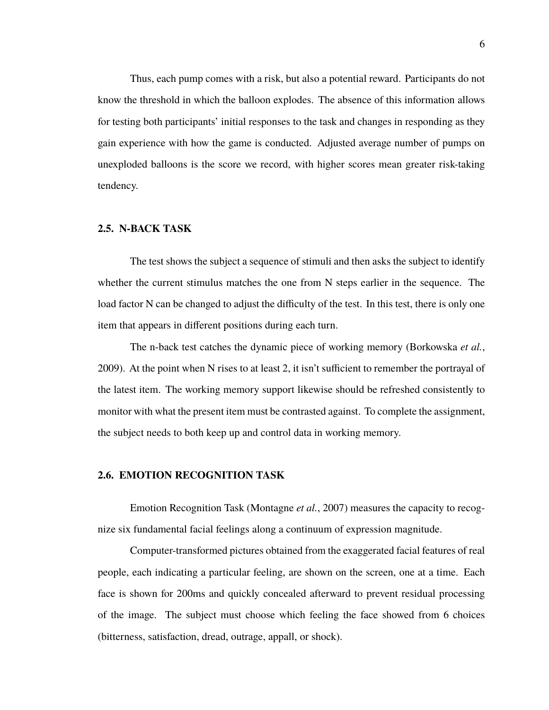Thus, each pump comes with a risk, but also a potential reward. Participants do not know the threshold in which the balloon explodes. The absence of this information allows for testing both participants' initial responses to the task and changes in responding as they gain experience with how the game is conducted. Adjusted average number of pumps on unexploded balloons is the score we record, with higher scores mean greater risk-taking tendency.

#### **2.5. N-BACK TASK**

The test shows the subject a sequence of stimuli and then asks the subject to identify whether the current stimulus matches the one from N steps earlier in the sequence. The load factor N can be changed to adjust the difficulty of the test. In this test, there is only one item that appears in different positions during each turn.

The n-back test catches the dynamic piece of working memory (Borkowska *et al.*, 2009). At the point when N rises to at least 2, it isn't sufficient to remember the portrayal of the latest item. The working memory support likewise should be refreshed consistently to monitor with what the present item must be contrasted against. To complete the assignment, the subject needs to both keep up and control data in working memory.

#### **2.6. EMOTION RECOGNITION TASK**

Emotion Recognition Task (Montagne *et al.*, 2007) measures the capacity to recognize six fundamental facial feelings along a continuum of expression magnitude.

Computer-transformed pictures obtained from the exaggerated facial features of real people, each indicating a particular feeling, are shown on the screen, one at a time. Each face is shown for 200ms and quickly concealed afterward to prevent residual processing of the image. The subject must choose which feeling the face showed from 6 choices (bitterness, satisfaction, dread, outrage, appall, or shock).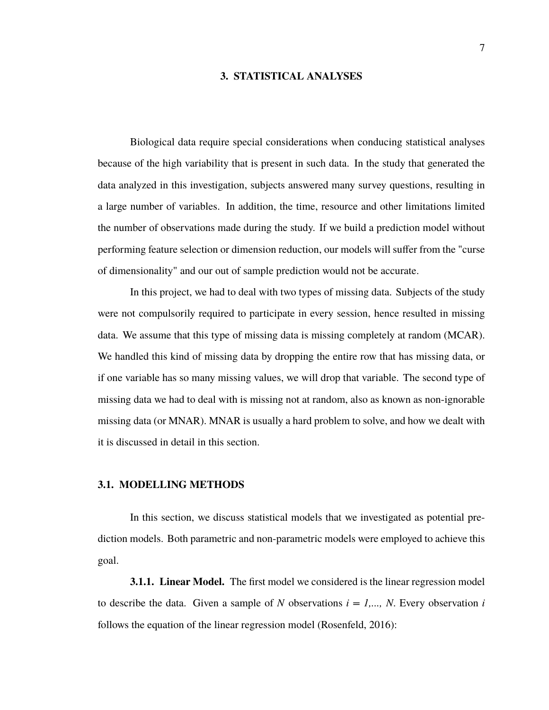#### **3. STATISTICAL ANALYSES**

Biological data require special considerations when conducing statistical analyses because of the high variability that is present in such data. In the study that generated the data analyzed in this investigation, subjects answered many survey questions, resulting in a large number of variables. In addition, the time, resource and other limitations limited the number of observations made during the study. If we build a prediction model without performing feature selection or dimension reduction, our models will suffer from the "curse of dimensionality" and our out of sample prediction would not be accurate.

In this project, we had to deal with two types of missing data. Subjects of the study were not compulsorily required to participate in every session, hence resulted in missing data. We assume that this type of missing data is missing completely at random (MCAR). We handled this kind of missing data by dropping the entire row that has missing data, or if one variable has so many missing values, we will drop that variable. The second type of missing data we had to deal with is missing not at random, also as known as non-ignorable missing data (or MNAR). MNAR is usually a hard problem to solve, and how we dealt with it is discussed in detail in this section.

#### **3.1. MODELLING METHODS**

In this section, we discuss statistical models that we investigated as potential prediction models. Both parametric and non-parametric models were employed to achieve this goal.

**3.1.1. Linear Model.** The first model we considered is the linear regression model to describe the data. Given a sample of *N* observations  $i = 1,..., N$ . Every observation *i* follows the equation of the linear regression model (Rosenfeld, 2016):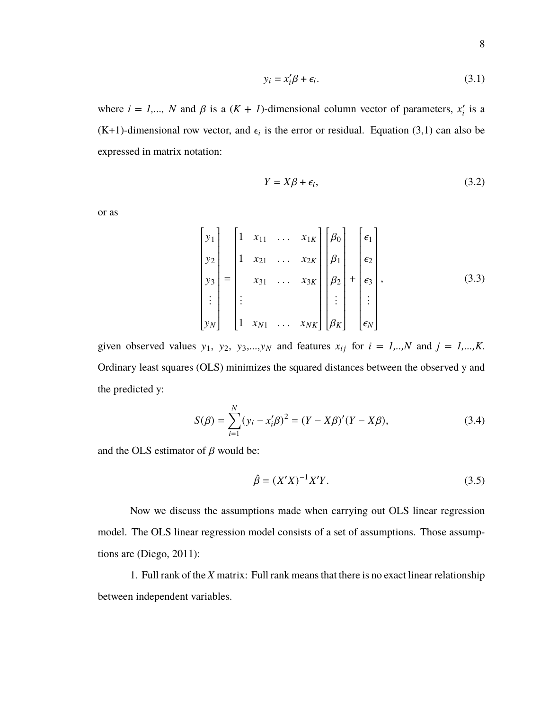$$
y_i = x_i' \beta + \epsilon_i. \tag{3.1}
$$

where  $i = 1,..., N$  and  $\beta$  is a  $(K + 1)$ -dimensional column vector of parameters,  $x_i$  is a  $(K+1)$ -dimensional row vector, and  $\epsilon_i$  is the error or residual. Equation (3,1) can also be expressed in matrix notation:

$$
Y = X\beta + \epsilon_i, \tag{3.2}
$$

or as

$$
\begin{bmatrix} y_1 \\ y_2 \\ y_3 \\ \vdots \\ y_N \end{bmatrix} = \begin{bmatrix} 1 & x_{11} & \dots & x_{1K} \\ 1 & x_{21} & \dots & x_{2K} \\ x_{31} & \dots & x_{3K} \\ \vdots & & & \\ 1 & x_{N1} & \dots & x_{NK} \end{bmatrix} \begin{bmatrix} \beta_0 \\ \beta_1 \\ \beta_2 \\ \vdots \\ \beta_K \end{bmatrix} + \begin{bmatrix} \epsilon_1 \\ \epsilon_2 \\ \epsilon_3 \\ \vdots \\ \epsilon_N \end{bmatrix},
$$
(3.3)

given observed values  $y_1$ ,  $y_2$ ,  $y_3$ ,..., $y_N$  and features  $x_{ij}$  for  $i = 1,...,N$  and  $j = 1,...,K$ . Ordinary least squares (OLS) minimizes the squared distances between the observed y and the predicted y:

$$
S(\beta) = \sum_{i=1}^{N} (y_i - x'_i \beta)^2 = (Y - X\beta)'(Y - X\beta),
$$
 (3.4)

and the OLS estimator of  $\beta$  would be:

$$
\hat{\beta} = (X'X)^{-1}X'Y.
$$
\n(3.5)

Now we discuss the assumptions made when carrying out OLS linear regression model. The OLS linear regression model consists of a set of assumptions. Those assumptions are (Diego, 2011):

1. Full rank of the *X* matrix: Full rank means that there is no exact linear relationship between independent variables.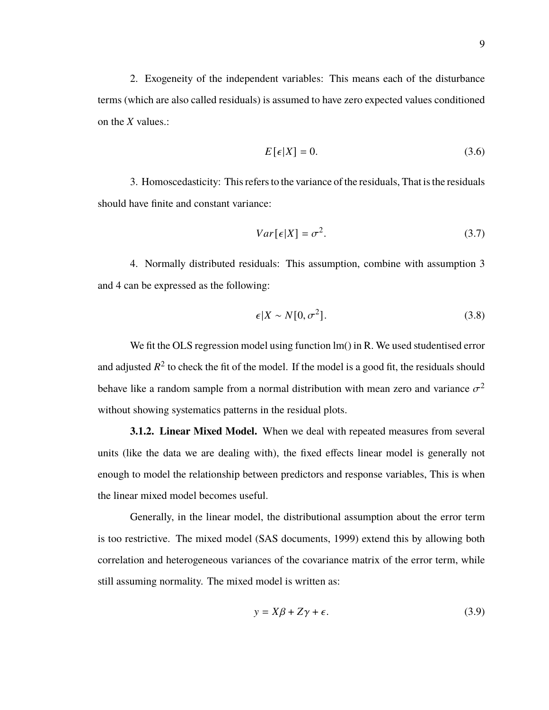2. Exogeneity of the independent variables: This means each of the disturbance terms (which are also called residuals) is assumed to have zero expected values conditioned on the *X* values.:

$$
E\left[\epsilon|X\right] = 0.\tag{3.6}
$$

3. Homoscedasticity: This refers to the variance of the residuals, That is the residuals should have finite and constant variance:

$$
Var[\epsilon|X] = \sigma^2. \tag{3.7}
$$

4. Normally distributed residuals: This assumption, combine with assumption 3 and 4 can be expressed as the following:

$$
\epsilon |X \sim N[0, \sigma^2]. \tag{3.8}
$$

We fit the OLS regression model using function lm() in R. We used studentised error and adjusted  $R^2$  to check the fit of the model. If the model is a good fit, the residuals should behave like a random sample from a normal distribution with mean zero and variance  $\sigma^2$ without showing systematics patterns in the residual plots.

**3.1.2. Linear Mixed Model.** When we deal with repeated measures from several units (like the data we are dealing with), the fixed effects linear model is generally not enough to model the relationship between predictors and response variables, This is when the linear mixed model becomes useful.

Generally, in the linear model, the distributional assumption about the error term is too restrictive. The mixed model (SAS documents, 1999) extend this by allowing both correlation and heterogeneous variances of the covariance matrix of the error term, while still assuming normality. The mixed model is written as:

$$
y = X\beta + Z\gamma + \epsilon. \tag{3.9}
$$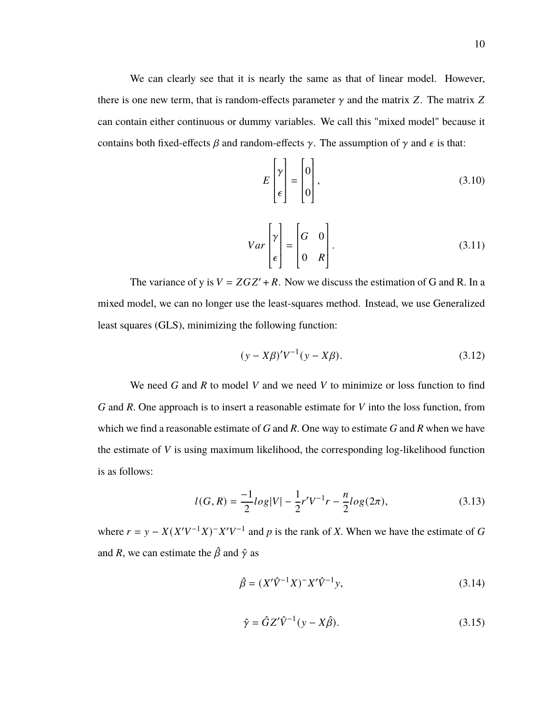We can clearly see that it is nearly the same as that of linear model. However, there is one new term, that is random-effects parameter  $\gamma$  and the matrix Z. The matrix Z can contain either continuous or dummy variables. We call this "mixed model" because it contains both fixed-effects  $\beta$  and random-effects  $\gamma$ . The assumption of  $\gamma$  and  $\epsilon$  is that:

$$
E\begin{bmatrix} \gamma \\ \epsilon \end{bmatrix} = \begin{bmatrix} 0 \\ 0 \end{bmatrix},\tag{3.10}
$$

$$
Var\begin{bmatrix} \gamma \\ \epsilon \end{bmatrix} = \begin{bmatrix} G & 0 \\ 0 & R \end{bmatrix}.
$$
 (3.11)

The variance of y is  $V = ZGZ' + R$ . Now we discuss the estimation of G and R. In a mixed model, we can no longer use the least-squares method. Instead, we use Generalized least squares (GLS), minimizing the following function:

$$
(y - X\beta)'V^{-1}(y - X\beta).
$$
 (3.12)

We need *G* and *R* to model *V* and we need *V* to minimize or loss function to find *G* and *R*. One approach is to insert a reasonable estimate for *V* into the loss function, from which we find a reasonable estimate of *G* and *R*. One way to estimate *G* and *R* when we have the estimate of *V* is using maximum likelihood, the corresponding log-likelihood function is as follows:

$$
l(G,R) = \frac{-1}{2}log|V| - \frac{1}{2}r'V^{-1}r - \frac{n}{2}log(2\pi),
$$
\n(3.13)

where  $r = y - X(X'V^{-1}X)^{-1}X'V^{-1}$  and p is the rank of X. When we have the estimate of *G* and *R*, we can estimate the  $\hat{\beta}$  and  $\hat{\gamma}$  as

$$
\hat{\beta} = (X'\hat{V}^{-1}X)^{-1}X'\hat{V}^{-1}y,
$$
\n(3.14)

$$
\hat{\gamma} = \hat{G}Z'\hat{V}^{-1}(y - X\hat{\beta}).\tag{3.15}
$$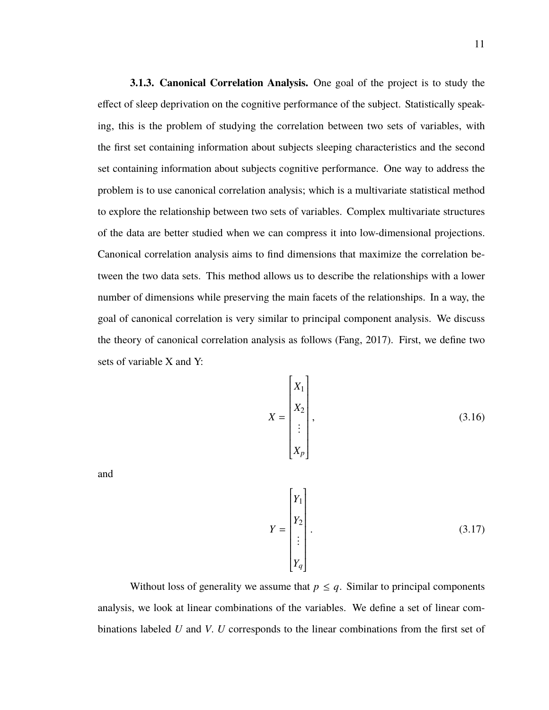**3.1.3. Canonical Correlation Analysis.** One goal of the project is to study the effect of sleep deprivation on the cognitive performance of the subject. Statistically speaking, this is the problem of studying the correlation between two sets of variables, with the first set containing information about subjects sleeping characteristics and the second set containing information about subjects cognitive performance. One way to address the problem is to use canonical correlation analysis; which is a multivariate statistical method to explore the relationship between two sets of variables. Complex multivariate structures of the data are better studied when we can compress it into low-dimensional projections. Canonical correlation analysis aims to find dimensions that maximize the correlation between the two data sets. This method allows us to describe the relationships with a lower number of dimensions while preserving the main facets of the relationships. In a way, the goal of canonical correlation is very similar to principal component analysis. We discuss the theory of canonical correlation analysis as follows (Fang, 2017). First, we define two sets of variable X and Y:

$$
X = \begin{bmatrix} X_1 \\ X_2 \\ \vdots \\ X_p \end{bmatrix},
$$
 (3.16)

and

$$
Y = \begin{bmatrix} Y_1 \\ Y_2 \\ \vdots \\ Y_q \end{bmatrix} .
$$
 (3.17)

Without loss of generality we assume that  $p \leq q$ . Similar to principal components analysis, we look at linear combinations of the variables. We define a set of linear combinations labeled *U* and *V*. *U* corresponds to the linear combinations from the first set of

Ĩ

Ī

Ĩ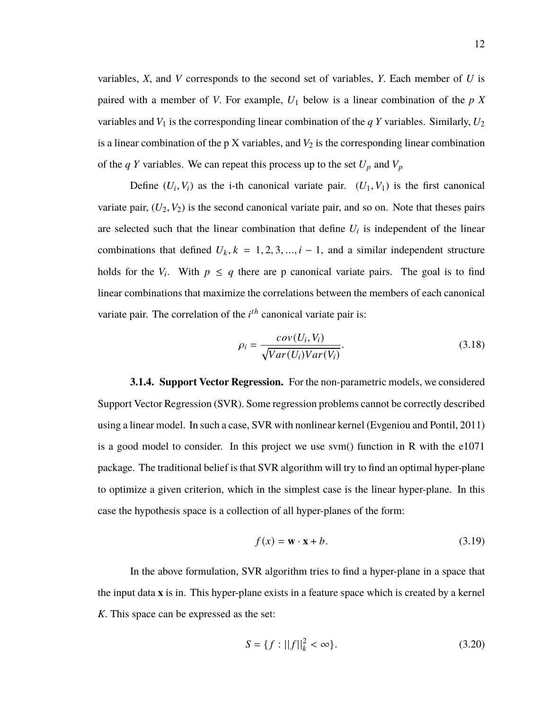variables, *X*, and *V* corresponds to the second set of variables, *Y*. Each member of *U* is paired with a member of *V*. For example,  $U_1$  below is a linear combination of the  $p X$ variables and  $V_1$  is the corresponding linear combination of the *q Y* variables. Similarly,  $U_2$ is a linear combination of the p X variables, and  $V_2$  is the corresponding linear combination of the  $qY$  variables. We can repeat this process up to the set  $U_p$  and  $V_p$ 

Define  $(U_i, V_i)$  as the i-th canonical variate pair.  $(U_1, V_1)$  is the first canonical variate pair,  $(U_2, V_2)$  is the second canonical variate pair, and so on. Note that theses pairs are selected such that the linear combination that define  $U_i$  is independent of the linear combinations that defined  $U_k$ ,  $k = 1, 2, 3, ..., i - 1$ , and a similar independent structure holds for the  $V_i$ . With  $p \leq q$  there are p canonical variate pairs. The goal is to find linear combinations that maximize the correlations between the members of each canonical variate pair. The correlation of the  $i^{th}$  canonical variate pair is:

$$
\rho_i = \frac{cov(U_i, V_i)}{\sqrt{Var(U_i)Var(V_i)}}.
$$
\n(3.18)

**3.1.4. Support Vector Regression.** For the non-parametric models, we considered Support Vector Regression (SVR). Some regression problems cannot be correctly described using a linear model. In such a case, SVR with nonlinear kernel (Evgeniou and Pontil, 2011) is a good model to consider. In this project we use svm() function in R with the e1071 package. The traditional belief is that SVR algorithm will try to find an optimal hyper-plane to optimize a given criterion, which in the simplest case is the linear hyper-plane. In this case the hypothesis space is a collection of all hyper-planes of the form:

$$
f(x) = \mathbf{w} \cdot \mathbf{x} + b. \tag{3.19}
$$

In the above formulation, SVR algorithm tries to find a hyper-plane in a space that the input data **x** is in. This hyper-plane exists in a feature space which is created by a kernel *K*. This space can be expressed as the set:

$$
S = \{f : ||f||_k^2 < \infty\}.
$$
 (3.20)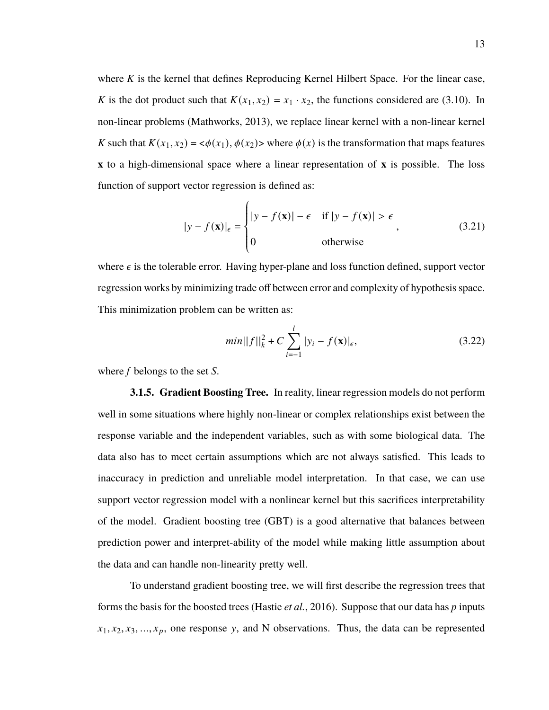where *K* is the kernel that defines Reproducing Kernel Hilbert Space. For the linear case, *K* is the dot product such that  $K(x_1, x_2) = x_1 \cdot x_2$ , the functions considered are (3.10). In non-linear problems (Mathworks, 2013), we replace linear kernel with a non-linear kernel *K* such that  $K(x_1, x_2) = \langle \phi(x_1), \phi(x_2) \rangle$  where  $\phi(x)$  is the transformation that maps features **x** to a high-dimensional space where a linear representation of **x** is possible. The loss function of support vector regression is defined as:

$$
|y - f(\mathbf{x})|_{\epsilon} = \begin{cases} |y - f(\mathbf{x})| - \epsilon & \text{if } |y - f(\mathbf{x})| > \epsilon \\ 0 & \text{otherwise} \end{cases}
$$
 (3.21)

J. where  $\epsilon$  is the tolerable error. Having hyper-plane and loss function defined, support vector regression works by minimizing trade off between error and complexity of hypothesis space. This minimization problem can be written as:

$$
min||f||k2 + C \sum_{i=-1}^{l} |y_i - f(\mathbf{x})|_{\epsilon},
$$
\n(3.22)

where *f* belongs to the set *S*.

**3.1.5. Gradient Boosting Tree.** In reality, linear regression models do not perform well in some situations where highly non-linear or complex relationships exist between the response variable and the independent variables, such as with some biological data. The data also has to meet certain assumptions which are not always satisfied. This leads to inaccuracy in prediction and unreliable model interpretation. In that case, we can use support vector regression model with a nonlinear kernel but this sacrifices interpretability of the model. Gradient boosting tree (GBT) is a good alternative that balances between prediction power and interpret-ability of the model while making little assumption about the data and can handle non-linearity pretty well.

To understand gradient boosting tree, we will first describe the regression trees that forms the basis for the boosted trees (Hastie *et al.*, 2016). Suppose that our data has *p* inputs  $x_1, x_2, x_3, \ldots, x_p$ , one response y, and N observations. Thus, the data can be represented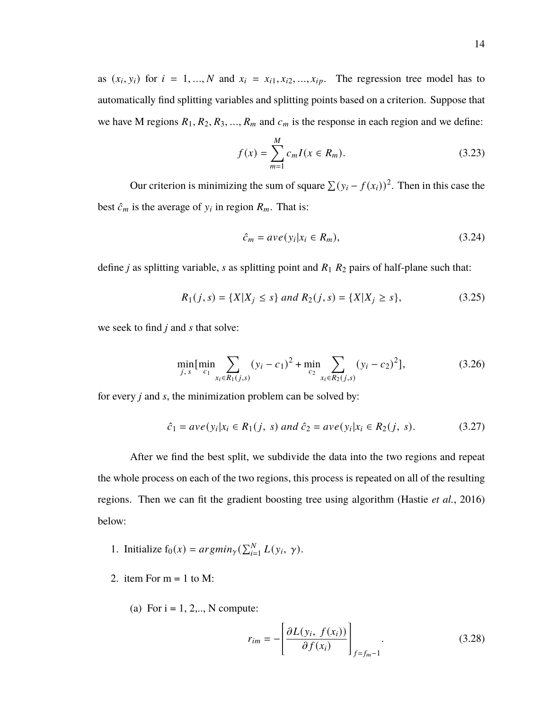as  $(x_i, y_i)$  for  $i = 1, ..., N$  and  $x_i = x_{i1}, x_{i2}, ..., x_{ip}$ . The regression tree model has to automatically find splitting variables and splitting points based on a criterion. Suppose that we have M regions  $R_1, R_2, R_3, \ldots, R_m$  and  $c_m$  is the response in each region and we define:

$$
f(x) = \sum_{m=1}^{M} c_m I(x \in R_m).
$$
 (3.23)

Our criterion is minimizing the sum of square  $\sum (y_i - f(x_i))^2$ . Then in this case the best  $\hat{c}_m$  is the average of  $y_i$  in region  $R_m$ . That is:

$$
\hat{c}_m = ave(y_i|x_i \in R_m),\tag{3.24}
$$

define *j* as splitting variable, *s* as splitting point and  $R_1 R_2$  pairs of half-plane such that:

$$
R_1(j,s) = \{X|X_j \le s\} \text{ and } R_2(j,s) = \{X|X_j \ge s\},\tag{3.25}
$$

we seek to find *j* and *s* that solve:

$$
\min_{j,s} [\min_{c_1} \sum_{x_i \in R_1(j,s)} (y_i - c_1)^2 + \min_{c_2} \sum_{x_i \in R_2(j,s)} (y_i - c_2)^2],
$$
\n(3.26)

for every *j* and *s*, the minimization problem can be solved by:

$$
\hat{c}_1 = ave(y_i|x_i \in R_1(j, s) \text{ and } \hat{c}_2 = ave(y_i|x_i \in R_2(j, s). \tag{3.27}
$$

After we find the best split, we subdivide the data into the two regions and repeat the whole process on each of the two regions, this process is repeated on all of the resulting regions. Then we can fit the gradient boosting tree using algorithm (Hastie *et al.*, 2016) below:

- 1. Initialize  $f_0(x) = argmin_{\gamma}(\sum_{i=1}^{N} L(y_i, \gamma)).$
- 2. item For  $m = 1$  to M:
	- (a) For  $i = 1, 2, \dots, N$  compute:

$$
r_{im} = -\left[\frac{\partial L(y_i, f(x_i))}{\partial f(x_i)}\right]_{f=f_m-1}.\tag{3.28}
$$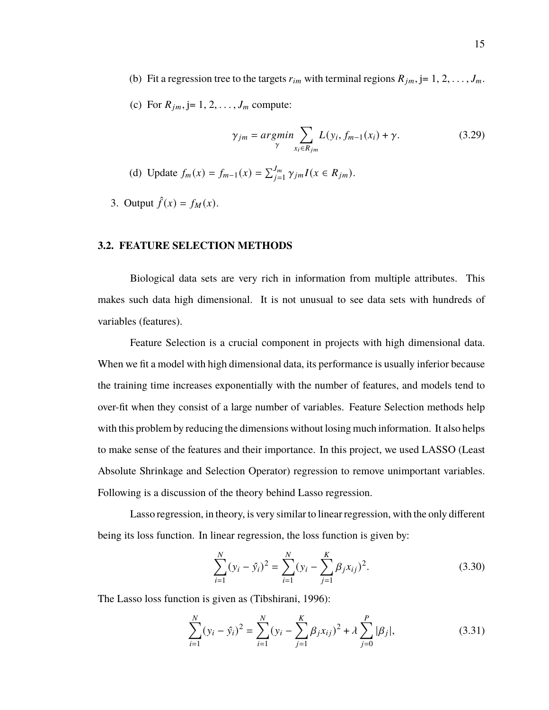- (b) Fit a regression tree to the targets  $r_{im}$  with terminal regions  $R_{jm}$ , j= 1, 2, ...,  $J_m$ .
- (c) For  $R_{jm}$ , j= 1, 2, . . . ,  $J_m$  compute:

$$
\gamma_{jm} = \underset{\gamma}{\operatorname{argmin}} \sum_{x_i \in R_{jm}} L(y_i, f_{m-1}(x_i) + \gamma. \tag{3.29}
$$

- (d) Update  $f_m(x) = f_{m-1}(x) = \sum_{j=1}^{J_m} \gamma_{jm} I(x \in R_{jm}).$
- 3. Output  $\hat{f}(x) = f_M(x)$ .

#### **3.2. FEATURE SELECTION METHODS**

Biological data sets are very rich in information from multiple attributes. This makes such data high dimensional. It is not unusual to see data sets with hundreds of variables (features).

Feature Selection is a crucial component in projects with high dimensional data. When we fit a model with high dimensional data, its performance is usually inferior because the training time increases exponentially with the number of features, and models tend to over-fit when they consist of a large number of variables. Feature Selection methods help with this problem by reducing the dimensions without losing much information. It also helps to make sense of the features and their importance. In this project, we used LASSO (Least Absolute Shrinkage and Selection Operator) regression to remove unimportant variables. Following is a discussion of the theory behind Lasso regression.

Lasso regression, in theory, is very similar to linear regression, with the only different being its loss function. In linear regression, the loss function is given by:

$$
\sum_{i=1}^{N} (y_i - \hat{y}_i)^2 = \sum_{i=1}^{N} (y_i - \sum_{j=1}^{K} \beta_j x_{ij})^2.
$$
 (3.30)

The Lasso loss function is given as (Tibshirani, 1996):

$$
\sum_{i=1}^{N} (y_i - \hat{y}_i)^2 = \sum_{i=1}^{N} (y_i - \sum_{j=1}^{K} \beta_j x_{ij})^2 + \lambda \sum_{j=0}^{P} |\beta_j|,
$$
 (3.31)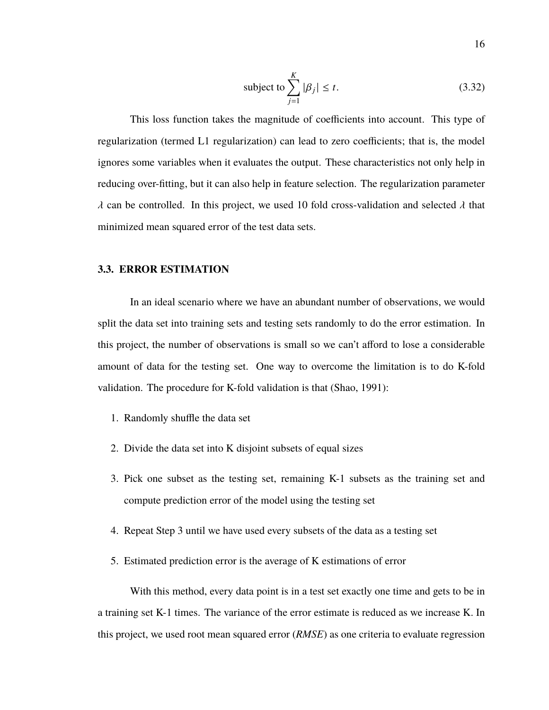subject to 
$$
\sum_{j=1}^{K} |\beta_j| \leq t.
$$
 (3.32)

This loss function takes the magnitude of coefficients into account. This type of regularization (termed L1 regularization) can lead to zero coefficients; that is, the model ignores some variables when it evaluates the output. These characteristics not only help in reducing over-fitting, but it can also help in feature selection. The regularization parameter  $\lambda$  can be controlled. In this project, we used 10 fold cross-validation and selected  $\lambda$  that minimized mean squared error of the test data sets.

#### **3.3. ERROR ESTIMATION**

In an ideal scenario where we have an abundant number of observations, we would split the data set into training sets and testing sets randomly to do the error estimation. In this project, the number of observations is small so we can't afford to lose a considerable amount of data for the testing set. One way to overcome the limitation is to do K-fold validation. The procedure for K-fold validation is that (Shao, 1991):

- 1. Randomly shuffle the data set
- 2. Divide the data set into K disjoint subsets of equal sizes
- 3. Pick one subset as the testing set, remaining K-1 subsets as the training set and compute prediction error of the model using the testing set
- 4. Repeat Step 3 until we have used every subsets of the data as a testing set
- 5. Estimated prediction error is the average of K estimations of error

With this method, every data point is in a test set exactly one time and gets to be in a training set K-1 times. The variance of the error estimate is reduced as we increase K. In this project, we used root mean squared error (*RMSE*) as one criteria to evaluate regression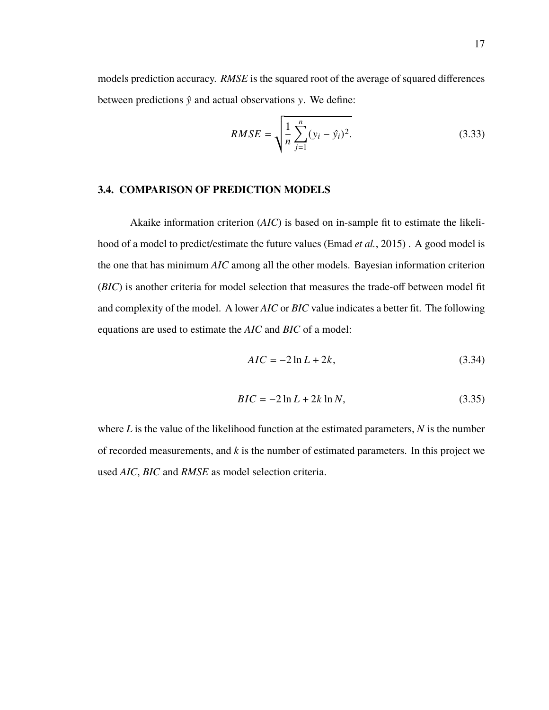models prediction accuracy. *RMSE* is the squared root of the average of squared differences between predictions  $\hat{y}$  and actual observations  $y$ . We define:

$$
RMSE = \sqrt{\frac{1}{n} \sum_{j=1}^{n} (y_i - \hat{y}_i)^2}.
$$
 (3.33)

#### **3.4. COMPARISON OF PREDICTION MODELS**

Akaike information criterion (*AIC*) is based on in-sample fit to estimate the likelihood of a model to predict/estimate the future values (Emad *et al.*, 2015) . A good model is the one that has minimum *AIC* among all the other models. Bayesian information criterion (*BIC*) is another criteria for model selection that measures the trade-off between model fit and complexity of the model. A lower *AIC* or *BIC* value indicates a better fit. The following equations are used to estimate the *AIC* and *BIC* of a model:

$$
AIC = -2\ln L + 2k,\tag{3.34}
$$

$$
BIC = -2\ln L + 2k\ln N,
$$
 (3.35)

where *L* is the value of the likelihood function at the estimated parameters, *N* is the number of recorded measurements, and *k* is the number of estimated parameters. In this project we used *AIC*, *BIC* and *RMSE* as model selection criteria.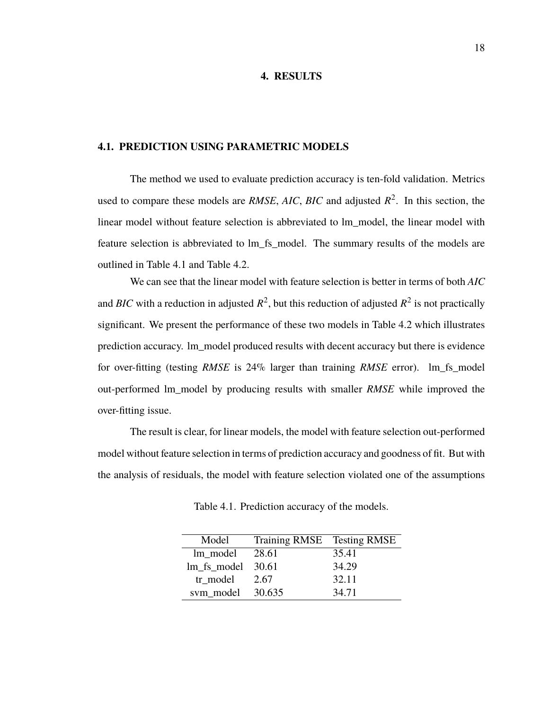#### **4. RESULTS**

#### **4.1. PREDICTION USING PARAMETRIC MODELS**

The method we used to evaluate prediction accuracy is ten-fold validation. Metrics used to compare these models are *RMSE*,  $AIC$ ,  $BIC$  and adjusted  $R^2$ . In this section, the linear model without feature selection is abbreviated to lm\_model, the linear model with feature selection is abbreviated to lm\_fs\_model. The summary results of the models are outlined in Table 4.1 and Table 4.2.

We can see that the linear model with feature selection is better in terms of both *AIC* and *BIC* with a reduction in adjusted  $R^2$ , but this reduction of adjusted  $R^2$  is not practically significant. We present the performance of these two models in Table 4.2 which illustrates prediction accuracy. lm\_model produced results with decent accuracy but there is evidence for over-fitting (testing *RMSE* is 24% larger than training *RMSE* error). lm\_fs\_model out-performed lm\_model by producing results with smaller *RMSE* while improved the over-fitting issue.

The result is clear, for linear models, the model with feature selection out-performed model without feature selection in terms of prediction accuracy and goodness of fit. But with the analysis of residuals, the model with feature selection violated one of the assumptions

| Model                  | Training RMSE Testing RMSE |       |
|------------------------|----------------------------|-------|
| lm model               | 28.61                      | 35.41 |
| $lm$ _fs_model $30.61$ |                            | 34.29 |
| tr model               | 2.67                       | 32.11 |
| sym model 30.635       |                            | 34.71 |

Table 4.1. Prediction accuracy of the models.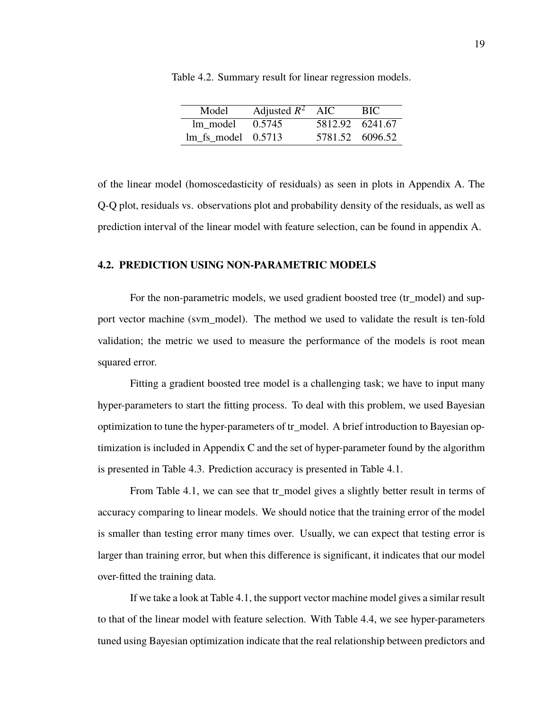| Model                       | Adjusted $R^2$ AIC |                 | BIC             |
|-----------------------------|--------------------|-----------------|-----------------|
| lm model                    | 0.5745             | 5812.92 6241.67 |                 |
| $\text{Im}$ fs model 0.5713 |                    |                 | 5781.52 6096.52 |

Table 4.2. Summary result for linear regression models.

of the linear model (homoscedasticity of residuals) as seen in plots in Appendix A. The Q-Q plot, residuals vs. observations plot and probability density of the residuals, as well as prediction interval of the linear model with feature selection, can be found in appendix A.

#### **4.2. PREDICTION USING NON-PARAMETRIC MODELS**

For the non-parametric models, we used gradient boosted tree (tr\_model) and support vector machine (svm\_model). The method we used to validate the result is ten-fold validation; the metric we used to measure the performance of the models is root mean squared error.

Fitting a gradient boosted tree model is a challenging task; we have to input many hyper-parameters to start the fitting process. To deal with this problem, we used Bayesian optimization to tune the hyper-parameters of tr\_model. A brief introduction to Bayesian optimization is included in Appendix C and the set of hyper-parameter found by the algorithm is presented in Table 4.3. Prediction accuracy is presented in Table 4.1.

From Table 4.1, we can see that tr\_model gives a slightly better result in terms of accuracy comparing to linear models. We should notice that the training error of the model is smaller than testing error many times over. Usually, we can expect that testing error is larger than training error, but when this difference is significant, it indicates that our model over-fitted the training data.

If we take a look at Table 4.1, the support vector machine model gives a similar result to that of the linear model with feature selection. With Table 4.4, we see hyper-parameters tuned using Bayesian optimization indicate that the real relationship between predictors and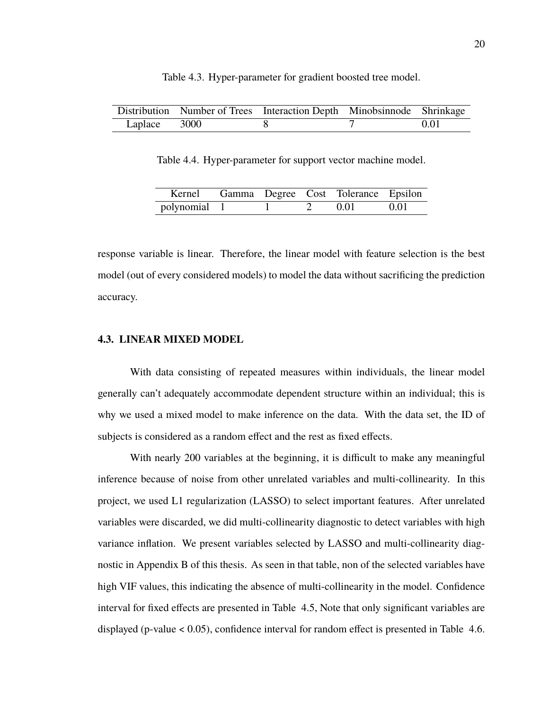|              | Distribution Number of Trees Interaction Depth Minobsinnode Shrinkage |      |
|--------------|-----------------------------------------------------------------------|------|
| Laplace 3000 |                                                                       | 0.01 |

Table 4.3. Hyper-parameter for gradient boosted tree model.

Table 4.4. Hyper-parameter for support vector machine model.

| Kernel       |  | Gamma Degree Cost Tolerance Epsilon |      |
|--------------|--|-------------------------------------|------|
| polynomial 1 |  | - 0.01                              | 0.01 |

response variable is linear. Therefore, the linear model with feature selection is the best model (out of every considered models) to model the data without sacrificing the prediction accuracy.

#### **4.3. LINEAR MIXED MODEL**

With data consisting of repeated measures within individuals, the linear model generally can't adequately accommodate dependent structure within an individual; this is why we used a mixed model to make inference on the data. With the data set, the ID of subjects is considered as a random effect and the rest as fixed effects.

With nearly 200 variables at the beginning, it is difficult to make any meaningful inference because of noise from other unrelated variables and multi-collinearity. In this project, we used L1 regularization (LASSO) to select important features. After unrelated variables were discarded, we did multi-collinearity diagnostic to detect variables with high variance inflation. We present variables selected by LASSO and multi-collinearity diagnostic in Appendix B of this thesis. As seen in that table, non of the selected variables have high VIF values, this indicating the absence of multi-collinearity in the model. Confidence interval for fixed effects are presented in Table 4.5, Note that only significant variables are displayed (p-value < 0.05), confidence interval for random effect is presented in Table 4.6.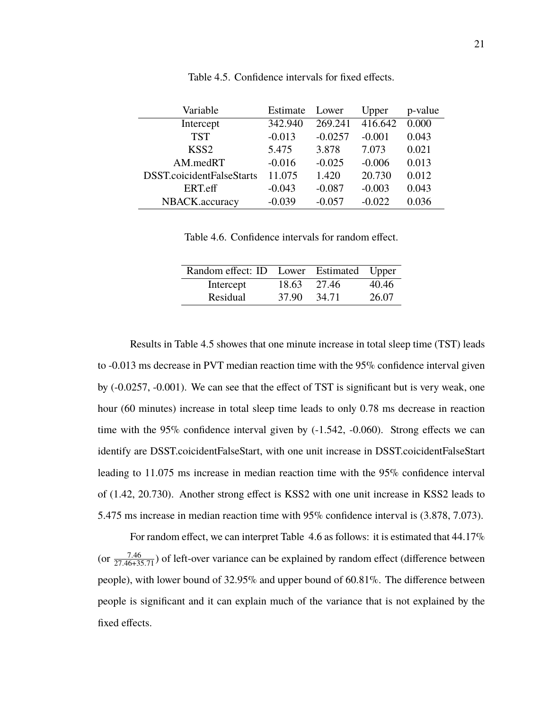| Variable                  | Estimate | Lower     | Upper    | p-value |
|---------------------------|----------|-----------|----------|---------|
| Intercept                 | 342.940  | 269.241   | 416.642  | 0.000   |
| <b>TST</b>                | $-0.013$ | $-0.0257$ | $-0.001$ | 0.043   |
| KSS <sub>2</sub>          | 5.475    | 3.878     | 7.073    | 0.021   |
| AM.medRT                  | $-0.016$ | $-0.025$  | $-0.006$ | 0.013   |
| DSST.coicidentFalseStarts | 11.075   | 1.420     | 20.730   | 0.012   |
| ERT.eff                   | $-0.043$ | $-0.087$  | $-0.003$ | 0.043   |
| NBACK.accuracy            | $-0.039$ | $-0.057$  | $-0.022$ | 0.036   |

Table 4.5. Confidence intervals for fixed effects.

Table 4.6. Confidence intervals for random effect.

| Random effect: ID Lower Estimated Upper |       |       |       |
|-----------------------------------------|-------|-------|-------|
| Intercept                               | 18.63 | 27.46 | 40.46 |
| Residual                                | 37.90 | 34.71 | 26.07 |

Results in Table 4.5 showes that one minute increase in total sleep time (TST) leads to -0.013 ms decrease in PVT median reaction time with the 95% confidence interval given by (-0.0257, -0.001). We can see that the effect of TST is significant but is very weak, one hour (60 minutes) increase in total sleep time leads to only 0.78 ms decrease in reaction time with the 95% confidence interval given by (-1.542, -0.060). Strong effects we can identify are DSST.coicidentFalseStart, with one unit increase in DSST.coicidentFalseStart leading to 11.075 ms increase in median reaction time with the 95% confidence interval of (1.42, 20.730). Another strong effect is KSS2 with one unit increase in KSS2 leads to 5.475 ms increase in median reaction time with 95% confidence interval is (3.878, 7.073).

For random effect, we can interpret Table 4.6 as follows: it is estimated that 44.17% (or  $\frac{7.46}{27.46+35.71}$ ) of left-over variance can be explained by random effect (difference between people), with lower bound of 32.95% and upper bound of 60.81%. The difference between people is significant and it can explain much of the variance that is not explained by the fixed effects.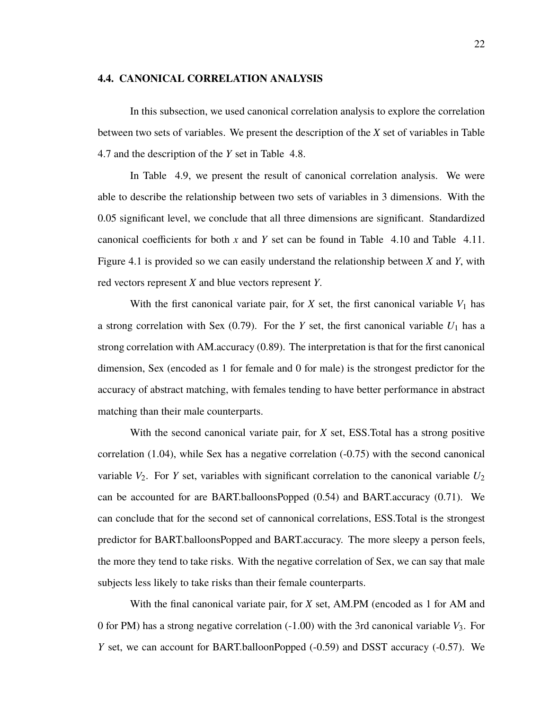#### **4.4. CANONICAL CORRELATION ANALYSIS**

In this subsection, we used canonical correlation analysis to explore the correlation between two sets of variables. We present the description of the *X* set of variables in Table 4.7 and the description of the *Y* set in Table 4.8.

In Table 4.9, we present the result of canonical correlation analysis. We were able to describe the relationship between two sets of variables in 3 dimensions. With the 0.05 significant level, we conclude that all three dimensions are significant. Standardized canonical coefficients for both *x* and *Y* set can be found in Table 4.10 and Table 4.11. Figure 4.1 is provided so we can easily understand the relationship between *X* and *Y*, with red vectors represent *X* and blue vectors represent *Y*.

With the first canonical variate pair, for  $X$  set, the first canonical variable  $V_1$  has a strong correlation with Sex  $(0.79)$ . For the *Y* set, the first canonical variable  $U_1$  has a strong correlation with AM.accuracy (0.89). The interpretation is that for the first canonical dimension, Sex (encoded as 1 for female and 0 for male) is the strongest predictor for the accuracy of abstract matching, with females tending to have better performance in abstract matching than their male counterparts.

With the second canonical variate pair, for *X* set, ESS.Total has a strong positive correlation (1.04), while Sex has a negative correlation (-0.75) with the second canonical variable  $V_2$ . For *Y* set, variables with significant correlation to the canonical variable  $U_2$ can be accounted for are BART.balloonsPopped (0.54) and BART.accuracy (0.71). We can conclude that for the second set of cannonical correlations, ESS.Total is the strongest predictor for BART.balloonsPopped and BART.accuracy. The more sleepy a person feels, the more they tend to take risks. With the negative correlation of Sex, we can say that male subjects less likely to take risks than their female counterparts.

With the final canonical variate pair, for *X* set, AM.PM (encoded as 1 for AM and 0 for PM) has a strong negative correlation  $(-1.00)$  with the 3rd canonical variable  $V_3$ . For *Y* set, we can account for BART.balloonPopped (-0.59) and DSST accuracy (-0.57). We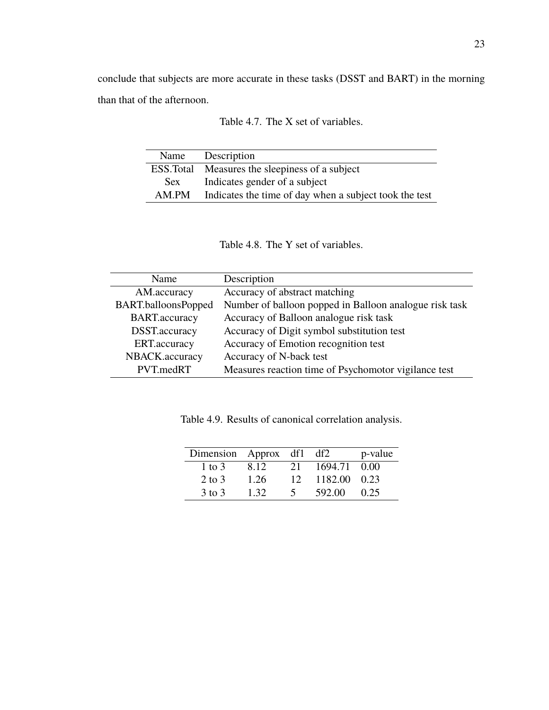conclude that subjects are more accurate in these tasks (DSST and BART) in the morning than that of the afternoon.

| Name      | Description                                            |
|-----------|--------------------------------------------------------|
| ESS.Total | Measures the sleepiness of a subject                   |
| Sex       | Indicates gender of a subject                          |
| AM.PM     | Indicates the time of day when a subject took the test |

| Table 4.7. The X set of variables. |
|------------------------------------|
|------------------------------------|

Table 4.8. The Y set of variables.

| Name                 | Description                                            |
|----------------------|--------------------------------------------------------|
| AM.accuracy          | Accuracy of abstract matching                          |
| BART.balloonsPopped  | Number of balloon popped in Balloon analogue risk task |
| <b>BART.accuracy</b> | Accuracy of Balloon analogue risk task                 |
| DSST.accuracy        | Accuracy of Digit symbol substitution test             |
| ERT.accuracy         | Accuracy of Emotion recognition test                   |
| NBACK.accuracy       | Accuracy of N-back test                                |
| PVT.medRT            | Measures reaction time of Psychomotor vigilance test   |

Table 4.9. Results of canonical correlation analysis.

| Dimension Approx df1 |       |                 | df2          | p-value |
|----------------------|-------|-----------------|--------------|---------|
| 1 to 3               | 8.12. | 21              | 1694.71      | - 0.00  |
| $2$ to $3$           | 1.26  | 12 <sup>°</sup> | 1182.00 0.23 |         |
| $3$ to $3$           | 132   |                 | 592.00       | 0.25    |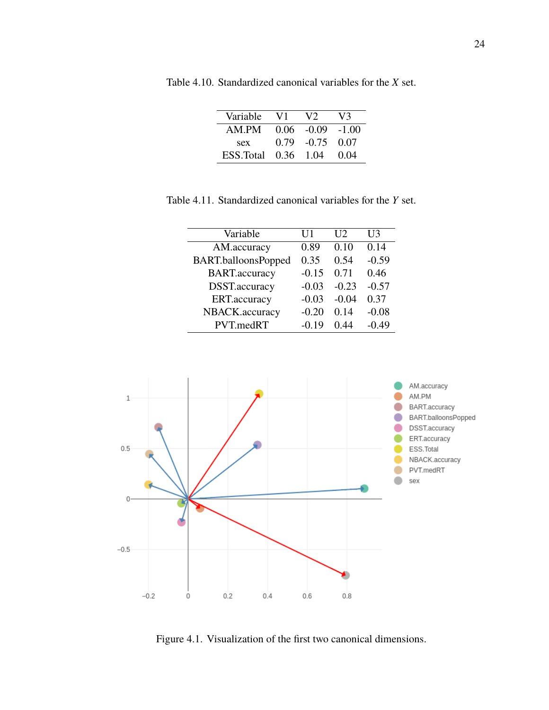| Variable             | V1 | V <sub>2</sub>       | V3     |
|----------------------|----|----------------------|--------|
| AM PM                |    | $0.06 - 0.09 - 1.00$ |        |
| sex                  |    | $0.79 - 0.75 0.07$   |        |
| ESS. Total 0.36 1.04 |    |                      | (1.04) |

Table 4.10. Standardized canonical variables for the *X* set.

Table 4.11. Standardized canonical variables for the *Y* set.

| Variable              | U1      | $\overline{112}$ | U3      |
|-----------------------|---------|------------------|---------|
| AM.accuracy           | 0.89    | 0.10             | 0.14    |
| BART.balloonsPopped   | 0.35    | 0.54             | $-0.59$ |
| <b>BART</b> .accuracy | $-0.15$ | 0.71             | 0.46    |
| DSST.accuracy         | $-0.03$ | $-0.23$          | $-0.57$ |
| ERT.accuracy          | $-0.03$ | $-0.04$          | 0.37    |
| NBACK.accuracy        | $-0.20$ | 0.14             | $-0.08$ |
| PVT.medRT             | $-0.19$ | 0.44             | $-0.49$ |



Figure 4.1. Visualization of the first two canonical dimensions.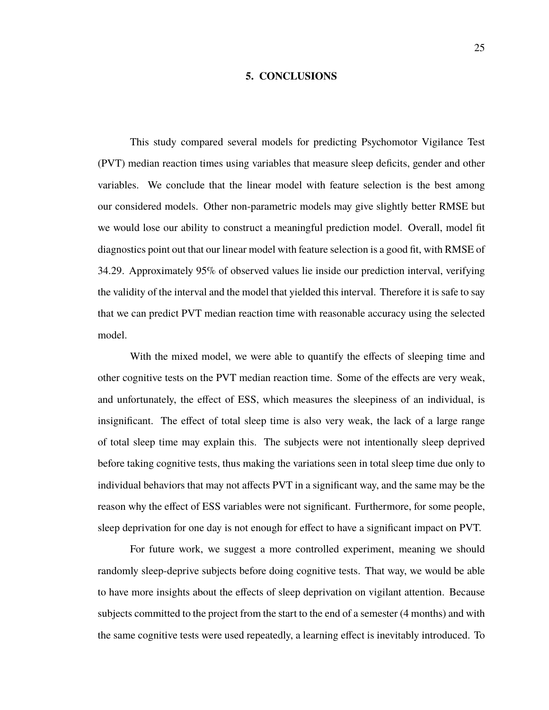#### **5. CONCLUSIONS**

This study compared several models for predicting Psychomotor Vigilance Test (PVT) median reaction times using variables that measure sleep deficits, gender and other variables. We conclude that the linear model with feature selection is the best among our considered models. Other non-parametric models may give slightly better RMSE but we would lose our ability to construct a meaningful prediction model. Overall, model fit diagnostics point out that our linear model with feature selection is a good fit, with RMSE of 34.29. Approximately 95% of observed values lie inside our prediction interval, verifying the validity of the interval and the model that yielded this interval. Therefore it is safe to say that we can predict PVT median reaction time with reasonable accuracy using the selected model.

With the mixed model, we were able to quantify the effects of sleeping time and other cognitive tests on the PVT median reaction time. Some of the effects are very weak, and unfortunately, the effect of ESS, which measures the sleepiness of an individual, is insignificant. The effect of total sleep time is also very weak, the lack of a large range of total sleep time may explain this. The subjects were not intentionally sleep deprived before taking cognitive tests, thus making the variations seen in total sleep time due only to individual behaviors that may not affects PVT in a significant way, and the same may be the reason why the effect of ESS variables were not significant. Furthermore, for some people, sleep deprivation for one day is not enough for effect to have a significant impact on PVT.

For future work, we suggest a more controlled experiment, meaning we should randomly sleep-deprive subjects before doing cognitive tests. That way, we would be able to have more insights about the effects of sleep deprivation on vigilant attention. Because subjects committed to the project from the start to the end of a semester (4 months) and with the same cognitive tests were used repeatedly, a learning effect is inevitably introduced. To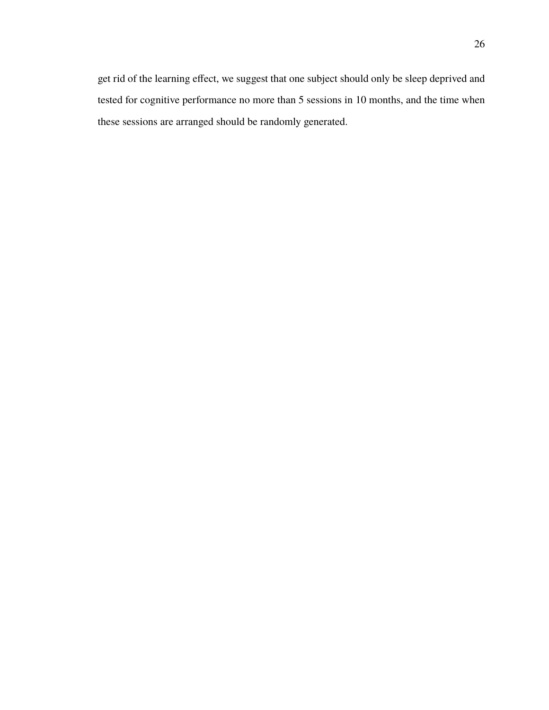get rid of the learning effect, we suggest that one subject should only be sleep deprived and tested for cognitive performance no more than 5 sessions in 10 months, and the time when these sessions are arranged should be randomly generated.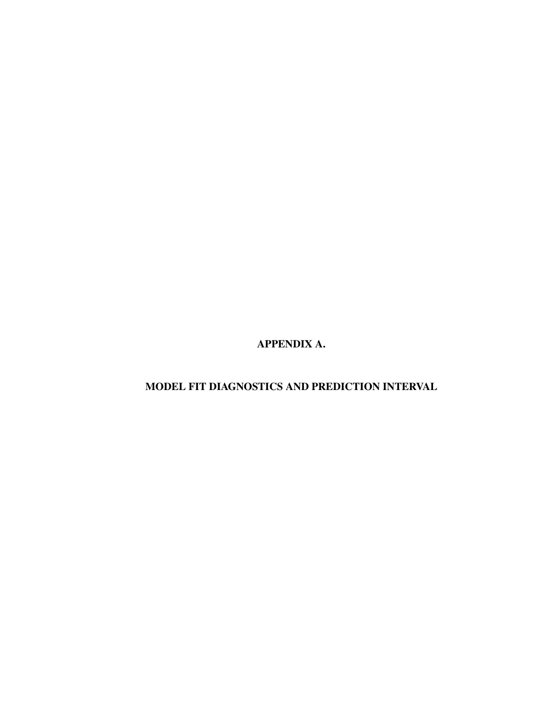**APPENDIX A.**

**MODEL FIT DIAGNOSTICS AND PREDICTION INTERVAL**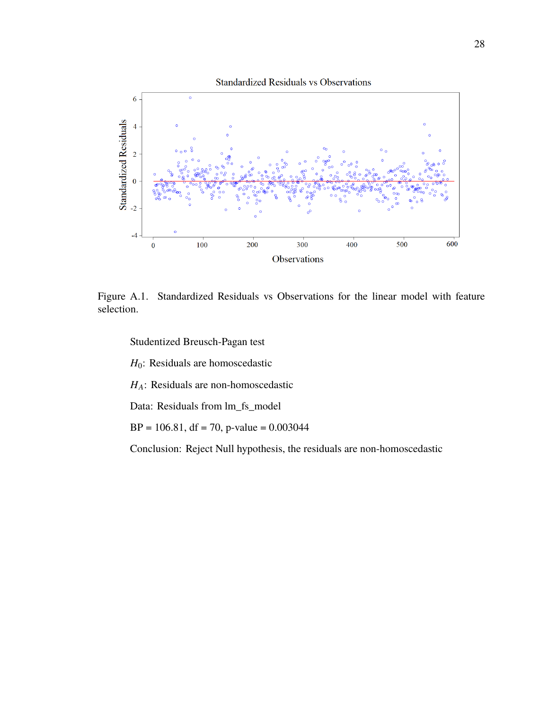

Figure A.1. Standardized Residuals vs Observations for the linear model with feature selection.

Studentized Breusch-Pagan test

 $H_0$ : Residuals are homoscedastic

 $H_A$ : Residuals are non-homoscedastic

Data: Residuals from lm\_fs\_model

 $BP = 106.81$ , df = 70, p-value = 0.003044

Conclusion: Reject Null hypothesis, the residuals are non-homoscedastic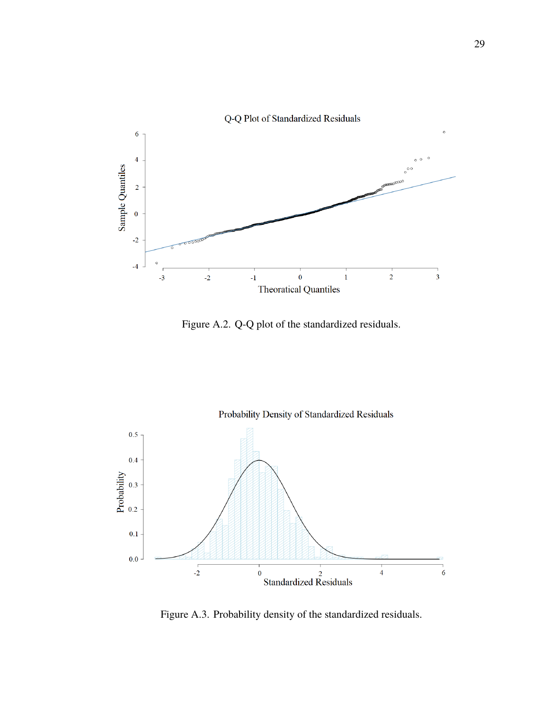

Figure A.2. Q-Q plot of the standardized residuals.



Figure A.3. Probability density of the standardized residuals.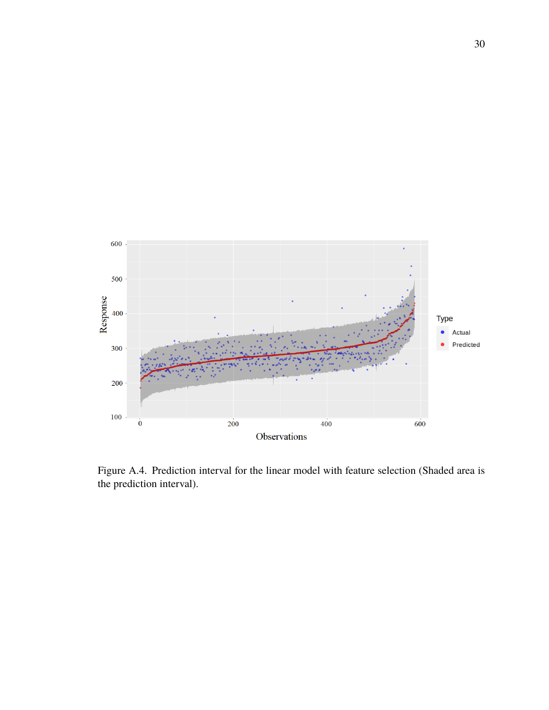

Figure A.4. Prediction interval for the linear model with feature selection (Shaded area is the prediction interval).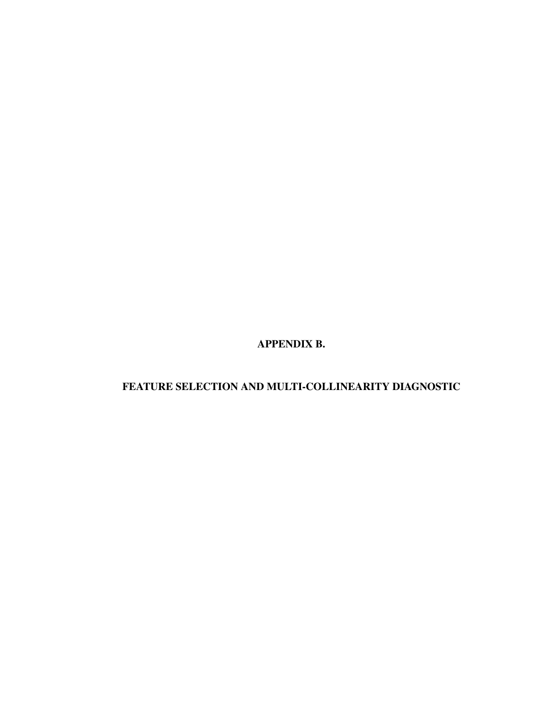**APPENDIX B.**

# **FEATURE SELECTION AND MULTI-COLLINEARITY DIAGNOSTIC**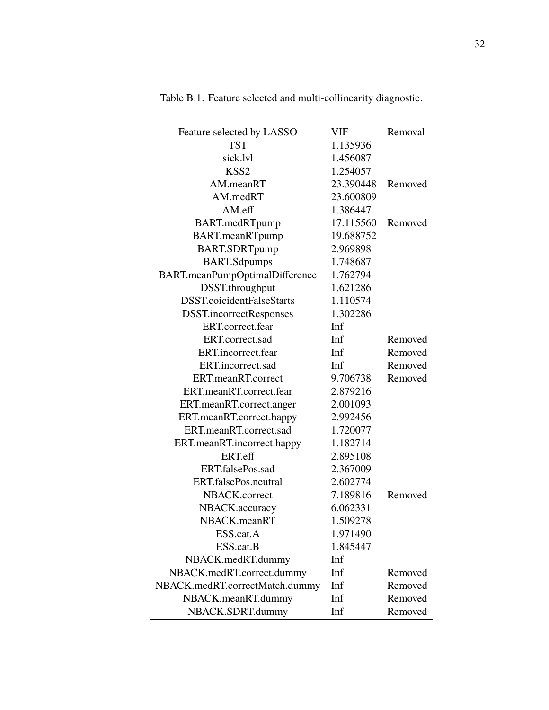| Feature selected by LASSO      | VIF       | Removal |
|--------------------------------|-----------|---------|
| <b>TST</b>                     | 1.135936  |         |
| sick.lvl                       | 1.456087  |         |
| KSS <sub>2</sub>               | 1.254057  |         |
| AM.meanRT                      | 23.390448 | Removed |
| AM.medRT                       | 23.600809 |         |
| AM.eff                         | 1.386447  |         |
| BART.medRTpump                 | 17.115560 | Removed |
| BART.meanRTpump                | 19.688752 |         |
| BART.SDRTpump                  | 2.969898  |         |
| <b>BART.Sdpumps</b>            | 1.748687  |         |
| BART.meanPumpOptimalDifference | 1.762794  |         |
| DSST.throughput                | 1.621286  |         |
| DSST.coicidentFalseStarts      | 1.110574  |         |
| <b>DSST.incorrectResponses</b> | 1.302286  |         |
| ERT.correct.fear               | Inf       |         |
| ERT.correct.sad                | Inf       | Removed |
| ERT.incorrect.fear             | Inf       | Removed |
| ERT.incorrect.sad              | Inf       | Removed |
| ERT.meanRT.correct             | 9.706738  | Removed |
| ERT.meanRT.correct.fear        | 2.879216  |         |
| ERT.meanRT.correct.anger       | 2.001093  |         |
| ERT.meanRT.correct.happy       | 2.992456  |         |
| ERT.meanRT.correct.sad         | 1.720077  |         |
| ERT.meanRT.incorrect.happy     | 1.182714  |         |
| ERT.eff                        | 2.895108  |         |
| ERT.falsePos.sad               | 2.367009  |         |
| ERT.falsePos.neutral           | 2.602774  |         |
| NBACK.correct                  | 7.189816  | Removed |
| NBACK.accuracy                 | 6.062331  |         |
| NBACK.meanRT                   | 1.509278  |         |
| ESS.cat.A                      | 1.971490  |         |
| ESS.cat.B                      | 1.845447  |         |
| NBACK.medRT.dummy              | Inf       |         |
| NBACK.medRT.correct.dummy      | Inf       | Removed |
| NBACK.medRT.correctMatch.dummy | Inf       | Removed |
| NBACK.meanRT.dummy             | Inf       | Removed |
| NBACK.SDRT.dummy               | Inf       | Removed |

Table B.1. Feature selected and multi-collinearity diagnostic.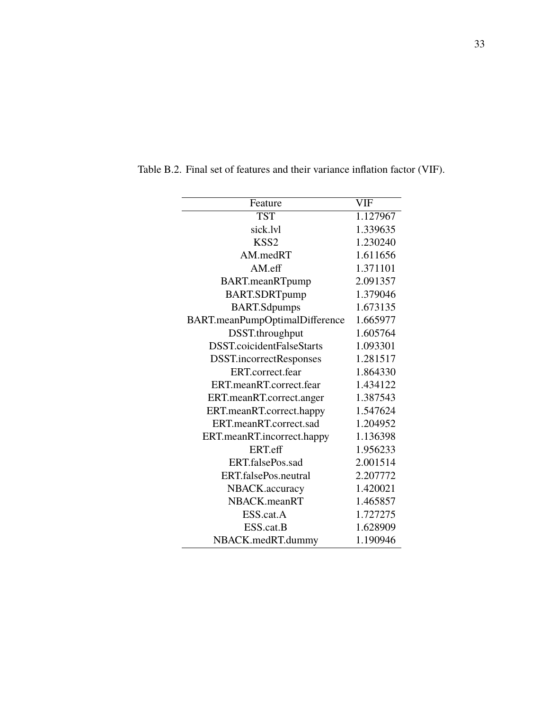| Feature                        | <b>VIF</b> |
|--------------------------------|------------|
| <b>TST</b>                     | 1.127967   |
| sick.lvl                       | 1.339635   |
| KSS <sub>2</sub>               | 1.230240   |
| AM.medRT                       | 1.611656   |
| $AM.$ eff                      | 1.371101   |
| <b>BART.meanRTpump</b>         | 2.091357   |
| <b>BART.SDRTpump</b>           | 1.379046   |
| <b>BART.Sdpumps</b>            | 1.673135   |
| BART.meanPumpOptimalDifference | 1.665977   |
| DSST.throughput                | 1.605764   |
| DSST.coicidentFalseStarts      | 1.093301   |
| <b>DSST.incorrectResponses</b> | 1.281517   |
| ERT.correct.fear               | 1.864330   |
| ERT.meanRT.correct.fear        | 1.434122   |
| ERT.meanRT.correct.anger       | 1.387543   |
| ERT.meanRT.correct.happy       | 1.547624   |
| ERT.meanRT.correct.sad         | 1.204952   |
| ERT.meanRT.incorrect.happy     | 1.136398   |
| ERT.eff                        | 1.956233   |
| ERT.falsePos.sad               | 2.001514   |
| ERT.falsePos.neutral           | 2.207772   |
| NBACK.accuracy                 | 1.420021   |
| NBACK.meanRT                   | 1.465857   |
| ESS.cat.A                      | 1.727275   |
| ESS.cat.B                      | 1.628909   |
| NBACK.medRT.dummy              | 1.190946   |

Table B.2. Final set of features and their variance inflation factor (VIF).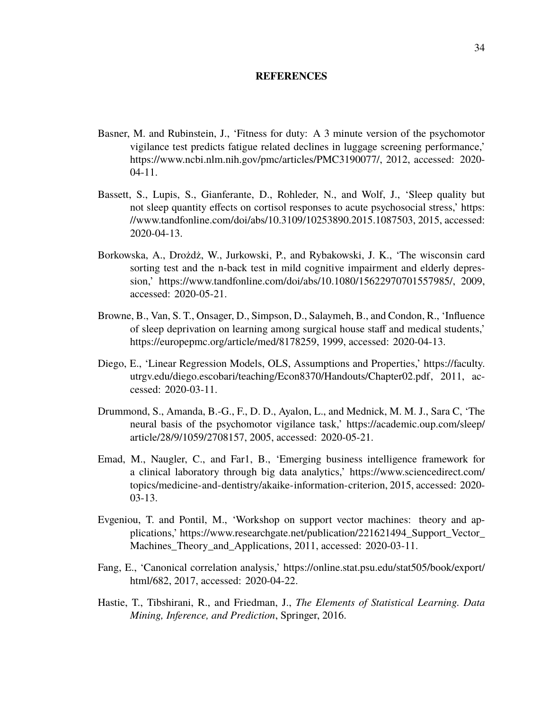#### **REFERENCES**

- Basner, M. and Rubinstein, J., 'Fitness for duty: A 3 minute version of the psychomotor vigilance test predicts fatigue related declines in luggage screening performance,' https://www.ncbi.nlm.nih.gov/pmc/articles/PMC3190077/, 2012, accessed: 2020- 04-11.
- Bassett, S., Lupis, S., Gianferante, D., Rohleder, N., and Wolf, J., 'Sleep quality but not sleep quantity effects on cortisol responses to acute psychosocial stress,' https: //www.tandfonline.com/doi/abs/10.3109/10253890.2015.1087503, 2015, accessed: 2020-04-13.
- Borkowska, A., Drożdż, W., Jurkowski, P., and Rybakowski, J. K., 'The wisconsin card sorting test and the n-back test in mild cognitive impairment and elderly depression,' https://www.tandfonline.com/doi/abs/10.1080/15622970701557985/, 2009, accessed: 2020-05-21.
- Browne, B., Van, S. T., Onsager, D., Simpson, D., Salaymeh, B., and Condon, R., 'Influence of sleep deprivation on learning among surgical house staff and medical students,' https://europepmc.org/article/med/8178259, 1999, accessed: 2020-04-13.
- Diego, E., 'Linear Regression Models, OLS, Assumptions and Properties,' https://faculty. utrgv.edu/diego.escobari/teaching/Econ8370/Handouts/Chapter02.pdf, 2011, accessed: 2020-03-11.
- Drummond, S., Amanda, B.-G., F., D. D., Ayalon, L., and Mednick, M. M. J., Sara C, 'The neural basis of the psychomotor vigilance task,' https://academic.oup.com/sleep/ article/28/9/1059/2708157, 2005, accessed: 2020-05-21.
- Emad, M., Naugler, C., and Far1, B., 'Emerging business intelligence framework for a clinical laboratory through big data analytics,' https://www.sciencedirect.com/ topics/medicine-and-dentistry/akaike-information-criterion, 2015, accessed: 2020- 03-13.
- Evgeniou, T. and Pontil, M., 'Workshop on support vector machines: theory and applications,' https://www.researchgate.net/publication/221621494\_Support\_Vector\_ Machines\_Theory\_and\_Applications, 2011, accessed: 2020-03-11.
- Fang, E., 'Canonical correlation analysis,' https://online.stat.psu.edu/stat505/book/export/ html/682, 2017, accessed: 2020-04-22.
- Hastie, T., Tibshirani, R., and Friedman, J., *The Elements of Statistical Learning. Data Mining, Inference, and Prediction*, Springer, 2016.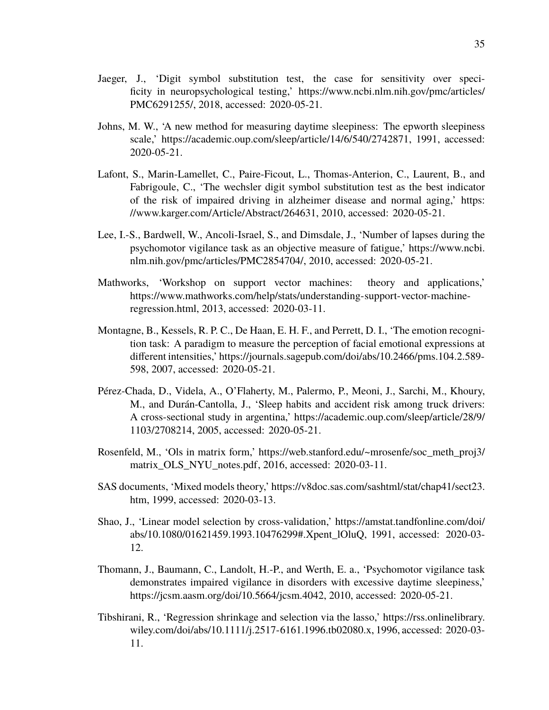- Jaeger, J., 'Digit symbol substitution test, the case for sensitivity over specificity in neuropsychological testing,' https://www.ncbi.nlm.nih.gov/pmc/articles/ PMC6291255/, 2018, accessed: 2020-05-21.
- Johns, M. W., 'A new method for measuring daytime sleepiness: The epworth sleepiness scale,' https://academic.oup.com/sleep/article/14/6/540/2742871, 1991, accessed: 2020-05-21.
- Lafont, S., Marin-Lamellet, C., Paire-Ficout, L., Thomas-Anterion, C., Laurent, B., and Fabrigoule, C., 'The wechsler digit symbol substitution test as the best indicator of the risk of impaired driving in alzheimer disease and normal aging,' https: //www.karger.com/Article/Abstract/264631, 2010, accessed: 2020-05-21.
- Lee, I.-S., Bardwell, W., Ancoli-Israel, S., and Dimsdale, J., 'Number of lapses during the psychomotor vigilance task as an objective measure of fatigue,' https://www.ncbi. nlm.nih.gov/pmc/articles/PMC2854704/, 2010, accessed: 2020-05-21.
- Mathworks, 'Workshop on support vector machines: theory and applications,' https://www.mathworks.com/help/stats/understanding-support-vector-machineregression.html, 2013, accessed: 2020-03-11.
- Montagne, B., Kessels, R. P. C., De Haan, E. H. F., and Perrett, D. I., 'The emotion recognition task: A paradigm to measure the perception of facial emotional expressions at different intensities,' https://journals.sagepub.com/doi/abs/10.2466/pms.104.2.589- 598, 2007, accessed: 2020-05-21.
- Pérez-Chada, D., Videla, A., O'Flaherty, M., Palermo, P., Meoni, J., Sarchi, M., Khoury, M., and Durán-Cantolla, J., 'Sleep habits and accident risk among truck drivers: A cross-sectional study in argentina,' https://academic.oup.com/sleep/article/28/9/ 1103/2708214, 2005, accessed: 2020-05-21.
- Rosenfeld, M., 'Ols in matrix form,' https://web.stanford.edu/~mrosenfe/soc\_meth\_proj3/ matrix\_OLS\_NYU\_notes.pdf, 2016, accessed: 2020-03-11.
- SAS documents, 'Mixed models theory,' https://v8doc.sas.com/sashtml/stat/chap41/sect23. htm, 1999, accessed: 2020-03-13.
- Shao, J., 'Linear model selection by cross-validation,' https://amstat.tandfonline.com/doi/ abs/10.1080/01621459.1993.10476299#.Xpent\_lOluQ, 1991, accessed: 2020-03- 12.
- Thomann, J., Baumann, C., Landolt, H.-P., and Werth, E. a., 'Psychomotor vigilance task demonstrates impaired vigilance in disorders with excessive daytime sleepiness,' https://jcsm.aasm.org/doi/10.5664/jcsm.4042, 2010, accessed: 2020-05-21.
- Tibshirani, R., 'Regression shrinkage and selection via the lasso,' https://rss.onlinelibrary. wiley.com/doi/abs/10.1111/j.2517-6161.1996.tb02080.x, 1996, accessed: 2020-03- 11.